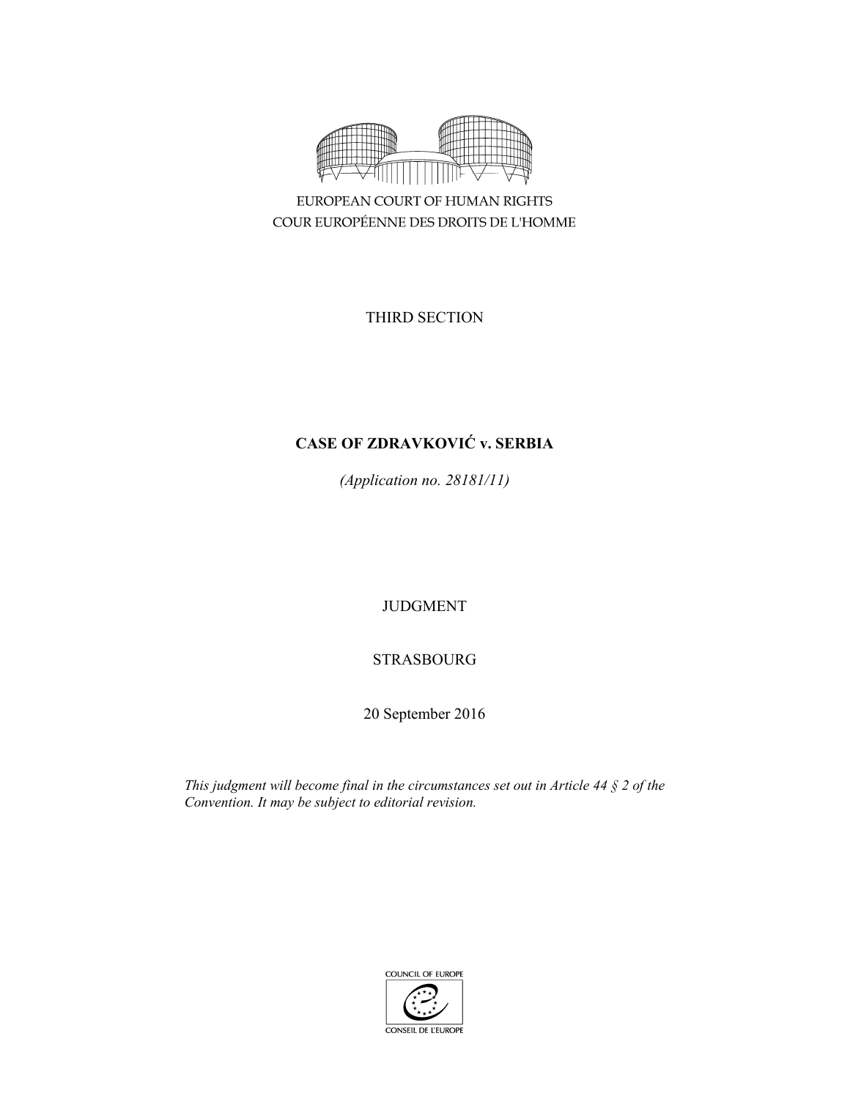

EUROPEAN COURT OF HUMAN RIGHTS COUR EUROPÉENNE DES DROITS DE L'HOMME

THIRD SECTION

# **CASE OF ZDRAVKOVIĆ v. SERBIA**

*(Application no. 28181/11)* 

JUDGMENT

STRASBOURG

20 September 2016

*This judgment will become final in the circumstances set out in Article 44 § 2 of the Convention. It may be subject to editorial revision.*

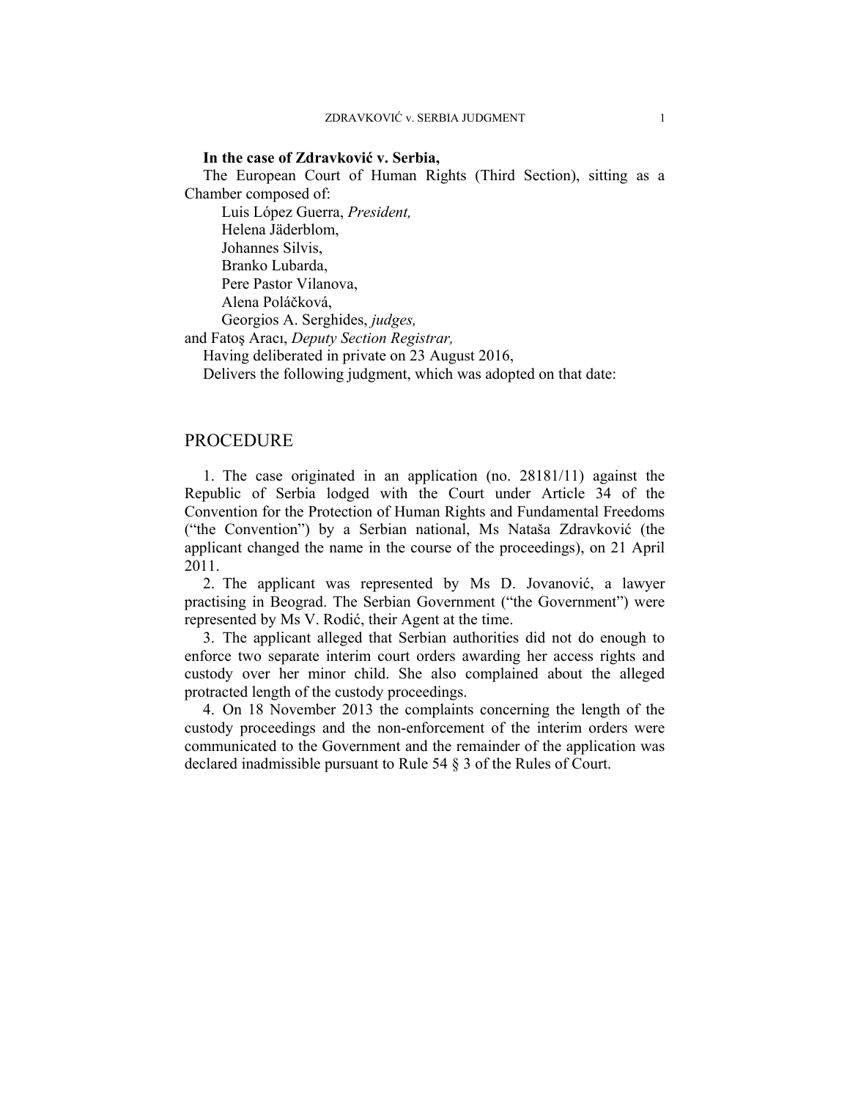### **In the case of Zdravković v. Serbia,**

The European Court of Human Rights (Third Section), sitting as a Chamber composed of:

 Luis López Guerra, *President,*  Helena Jäderblom, Johannes Silvis, Branko Lubarda, Pere Pastor Vilanova, Alena Poláčková, Georgios A. Serghides, *judges,* 

and Fatoş Aracı, *Deputy Section Registrar,*

Having deliberated in private on 23 August 2016,

Delivers the following judgment, which was adopted on that date:

## PROCEDURE

1. The case originated in an application (no. 28181/11) against the Republic of Serbia lodged with the Court under Article 34 of the Convention for the Protection of Human Rights and Fundamental Freedoms ("the Convention") by a Serbian national, Ms Nataša Zdravković (the applicant changed the name in the course of the proceedings), on 21 April 2011.

2. The applicant was represented by Ms D. Jovanović, a lawyer practising in Beograd. The Serbian Government ("the Government") were represented by Ms V. Rodić, their Agent at the time.

3. The applicant alleged that Serbian authorities did not do enough to enforce two separate interim court orders awarding her access rights and custody over her minor child. She also complained about the alleged protracted length of the custody proceedings.

4. On 18 November 2013 the complaints concerning the length of the custody proceedings and the non-enforcement of the interim orders were communicated to the Government and the remainder of the application was declared inadmissible pursuant to Rule 54 § 3 of the Rules of Court.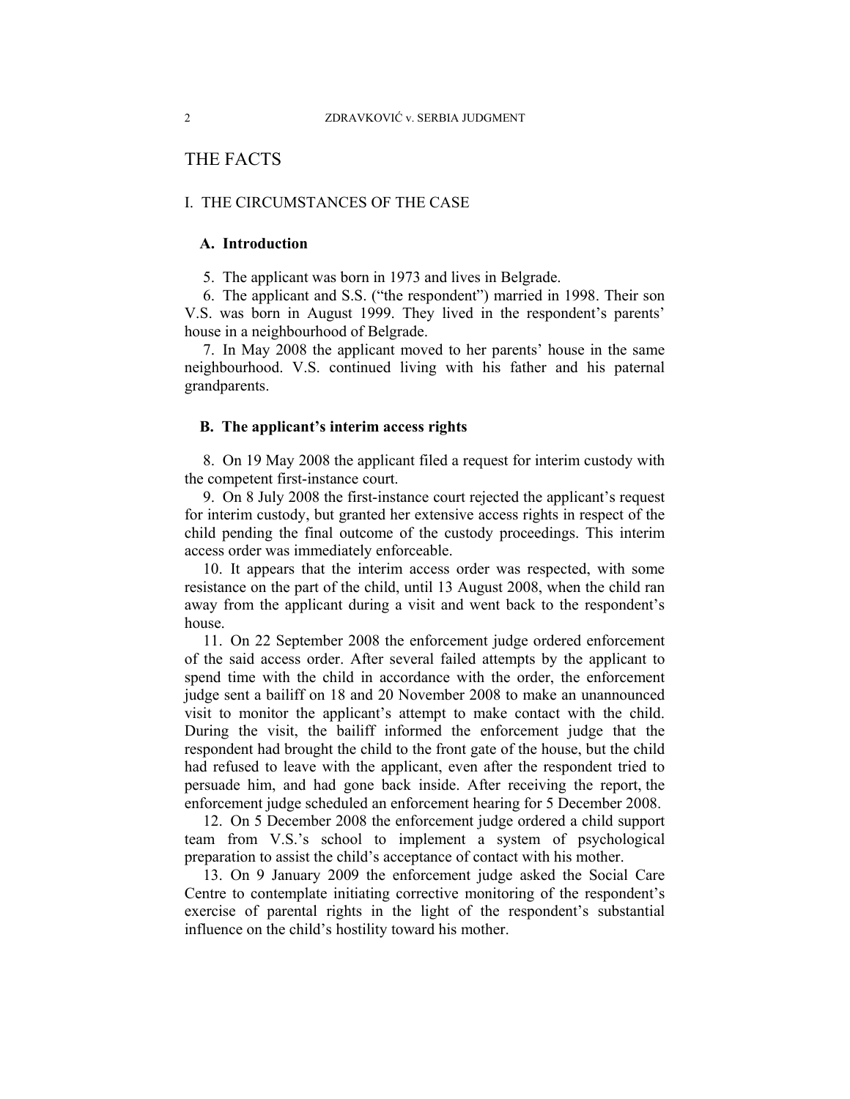## THE FACTS

## I. THE CIRCUMSTANCES OF THE CASE

## **A. Introduction**

5. The applicant was born in 1973 and lives in Belgrade.

6. The applicant and S.S. ("the respondent") married in 1998. Their son V.S. was born in August 1999. They lived in the respondent's parents' house in a neighbourhood of Belgrade.

7. In May 2008 the applicant moved to her parents' house in the same neighbourhood. V.S. continued living with his father and his paternal grandparents.

### **B. The applicant's interim access rights**

8. On 19 May 2008 the applicant filed a request for interim custody with the competent first-instance court.

9. On 8 July 2008 the first-instance court rejected the applicant's request for interim custody, but granted her extensive access rights in respect of the child pending the final outcome of the custody proceedings. This interim access order was immediately enforceable.

10. It appears that the interim access order was respected, with some resistance on the part of the child, until 13 August 2008, when the child ran away from the applicant during a visit and went back to the respondent's house.

11. On 22 September 2008 the enforcement judge ordered enforcement of the said access order. After several failed attempts by the applicant to spend time with the child in accordance with the order, the enforcement judge sent a bailiff on 18 and 20 November 2008 to make an unannounced visit to monitor the applicant's attempt to make contact with the child. During the visit, the bailiff informed the enforcement judge that the respondent had brought the child to the front gate of the house, but the child had refused to leave with the applicant, even after the respondent tried to persuade him, and had gone back inside. After receiving the report, the enforcement judge scheduled an enforcement hearing for 5 December 2008.

12. On 5 December 2008 the enforcement judge ordered a child support team from V.S.'s school to implement a system of psychological preparation to assist the child's acceptance of contact with his mother.

13. On 9 January 2009 the enforcement judge asked the Social Care Centre to contemplate initiating corrective monitoring of the respondent's exercise of parental rights in the light of the respondent's substantial influence on the child's hostility toward his mother.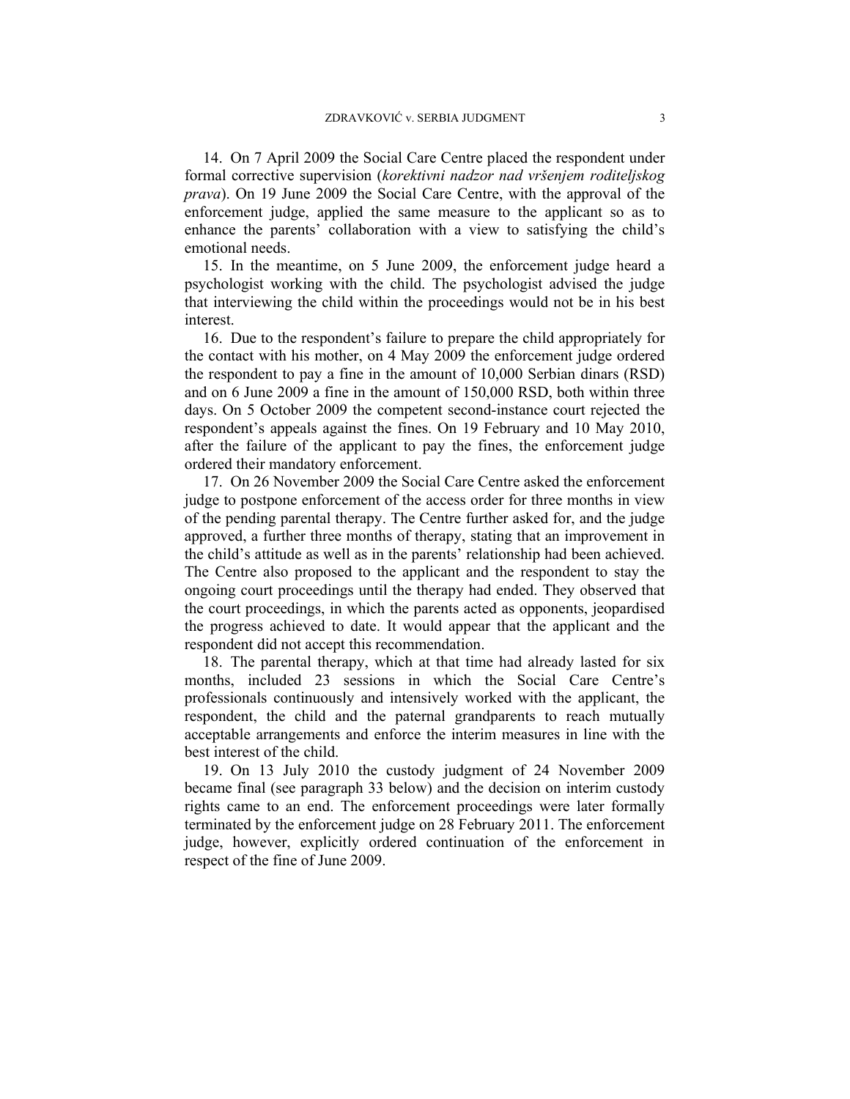14. On 7 April 2009 the Social Care Centre placed the respondent under formal corrective supervision (*korektivni nadzor nad vršenjem roditeljskog prava*). On 19 June 2009 the Social Care Centre, with the approval of the enforcement judge, applied the same measure to the applicant so as to enhance the parents' collaboration with a view to satisfying the child's emotional needs.

15. In the meantime, on 5 June 2009, the enforcement judge heard a psychologist working with the child. The psychologist advised the judge that interviewing the child within the proceedings would not be in his best interest.

16. Due to the respondent's failure to prepare the child appropriately for the contact with his mother, on 4 May 2009 the enforcement judge ordered the respondent to pay a fine in the amount of 10,000 Serbian dinars (RSD) and on 6 June 2009 a fine in the amount of 150,000 RSD, both within three days. On 5 October 2009 the competent second-instance court rejected the respondent's appeals against the fines. On 19 February and 10 May 2010, after the failure of the applicant to pay the fines, the enforcement judge ordered their mandatory enforcement.

17. On 26 November 2009 the Social Care Centre asked the enforcement judge to postpone enforcement of the access order for three months in view of the pending parental therapy. The Centre further asked for, and the judge approved, a further three months of therapy, stating that an improvement in the child's attitude as well as in the parents' relationship had been achieved. The Centre also proposed to the applicant and the respondent to stay the ongoing court proceedings until the therapy had ended. They observed that the court proceedings, in which the parents acted as opponents, jeopardised the progress achieved to date. It would appear that the applicant and the respondent did not accept this recommendation.

18. The parental therapy, which at that time had already lasted for six months, included 23 sessions in which the Social Care Centre's professionals continuously and intensively worked with the applicant, the respondent, the child and the paternal grandparents to reach mutually acceptable arrangements and enforce the interim measures in line with the best interest of the child.

19. On 13 July 2010 the custody judgment of 24 November 2009 became final (see paragraph 33 below) and the decision on interim custody rights came to an end. The enforcement proceedings were later formally terminated by the enforcement judge on 28 February 2011. The enforcement judge, however, explicitly ordered continuation of the enforcement in respect of the fine of June 2009.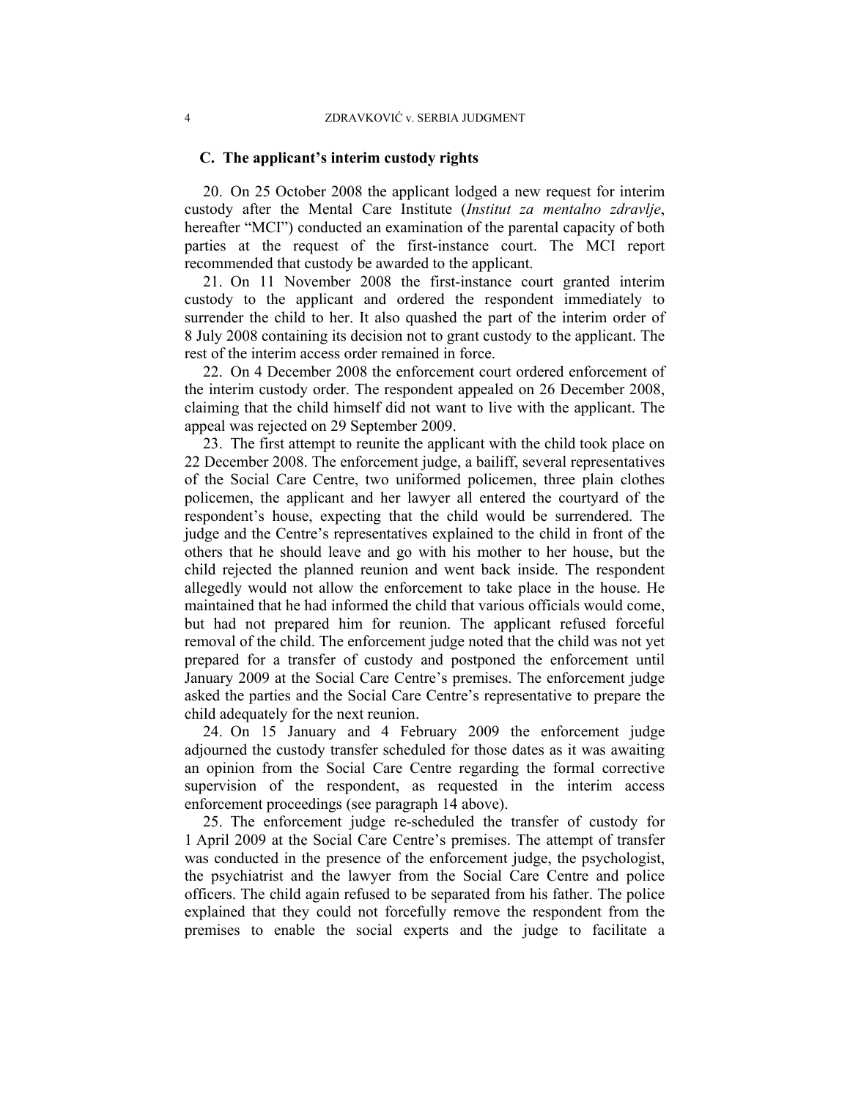### **C. The applicant's interim custody rights**

20. On 25 October 2008 the applicant lodged a new request for interim custody after the Mental Care Institute (*Institut za mentalno zdravlje*, hereafter "MCI") conducted an examination of the parental capacity of both parties at the request of the first-instance court. The MCI report recommended that custody be awarded to the applicant.

21. On 11 November 2008 the first-instance court granted interim custody to the applicant and ordered the respondent immediately to surrender the child to her. It also quashed the part of the interim order of 8 July 2008 containing its decision not to grant custody to the applicant. The rest of the interim access order remained in force.

22. On 4 December 2008 the enforcement court ordered enforcement of the interim custody order. The respondent appealed on 26 December 2008, claiming that the child himself did not want to live with the applicant. The appeal was rejected on 29 September 2009.

23. The first attempt to reunite the applicant with the child took place on 22 December 2008. The enforcement judge, a bailiff, several representatives of the Social Care Centre, two uniformed policemen, three plain clothes policemen, the applicant and her lawyer all entered the courtyard of the respondent's house, expecting that the child would be surrendered. The judge and the Centre's representatives explained to the child in front of the others that he should leave and go with his mother to her house, but the child rejected the planned reunion and went back inside. The respondent allegedly would not allow the enforcement to take place in the house. He maintained that he had informed the child that various officials would come, but had not prepared him for reunion. The applicant refused forceful removal of the child. The enforcement judge noted that the child was not yet prepared for a transfer of custody and postponed the enforcement until January 2009 at the Social Care Centre's premises. The enforcement judge asked the parties and the Social Care Centre's representative to prepare the child adequately for the next reunion.

24. On 15 January and 4 February 2009 the enforcement judge adjourned the custody transfer scheduled for those dates as it was awaiting an opinion from the Social Care Centre regarding the formal corrective supervision of the respondent, as requested in the interim access enforcement proceedings (see paragraph 14 above).

25. The enforcement judge re-scheduled the transfer of custody for 1 April 2009 at the Social Care Centre's premises. The attempt of transfer was conducted in the presence of the enforcement judge, the psychologist, the psychiatrist and the lawyer from the Social Care Centre and police officers. The child again refused to be separated from his father. The police explained that they could not forcefully remove the respondent from the premises to enable the social experts and the judge to facilitate a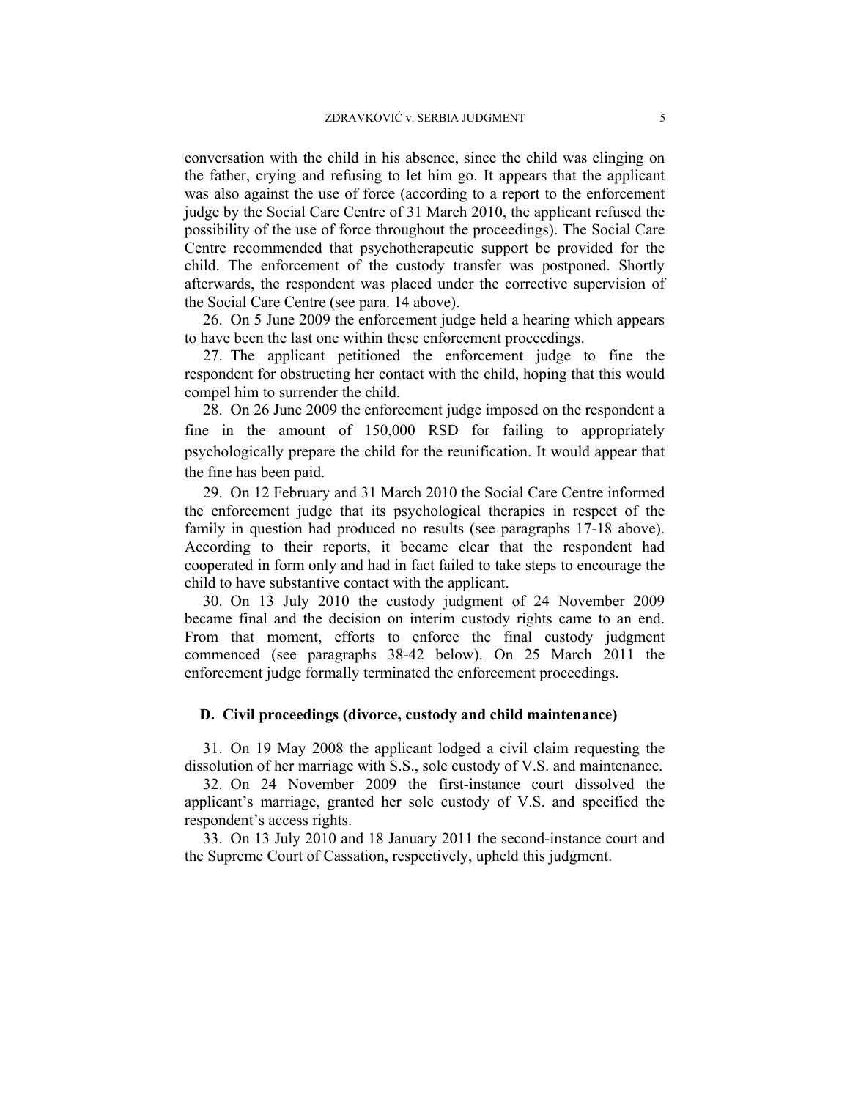conversation with the child in his absence, since the child was clinging on the father, crying and refusing to let him go. It appears that the applicant was also against the use of force (according to a report to the enforcement judge by the Social Care Centre of 31 March 2010, the applicant refused the possibility of the use of force throughout the proceedings). The Social Care Centre recommended that psychotherapeutic support be provided for the child. The enforcement of the custody transfer was postponed. Shortly afterwards, the respondent was placed under the corrective supervision of the Social Care Centre (see para. 14 above).

26. On 5 June 2009 the enforcement judge held a hearing which appears to have been the last one within these enforcement proceedings.

27. The applicant petitioned the enforcement judge to fine the respondent for obstructing her contact with the child, hoping that this would compel him to surrender the child.

28. On 26 June 2009 the enforcement judge imposed on the respondent a fine in the amount of 150,000 RSD for failing to appropriately psychologically prepare the child for the reunification. It would appear that the fine has been paid.

29. On 12 February and 31 March 2010 the Social Care Centre informed the enforcement judge that its psychological therapies in respect of the family in question had produced no results (see paragraphs 17-18 above). According to their reports, it became clear that the respondent had cooperated in form only and had in fact failed to take steps to encourage the child to have substantive contact with the applicant.

30. On 13 July 2010 the custody judgment of 24 November 2009 became final and the decision on interim custody rights came to an end. From that moment, efforts to enforce the final custody judgment commenced (see paragraphs 38-42 below). On 25 March 2011 the enforcement judge formally terminated the enforcement proceedings.

#### **D. Civil proceedings (divorce, custody and child maintenance)**

31. On 19 May 2008 the applicant lodged a civil claim requesting the dissolution of her marriage with S.S., sole custody of V.S. and maintenance.

32. On 24 November 2009 the first-instance court dissolved the applicant's marriage, granted her sole custody of V.S. and specified the respondent's access rights.

33. On 13 July 2010 and 18 January 2011 the second-instance court and the Supreme Court of Cassation, respectively, upheld this judgment.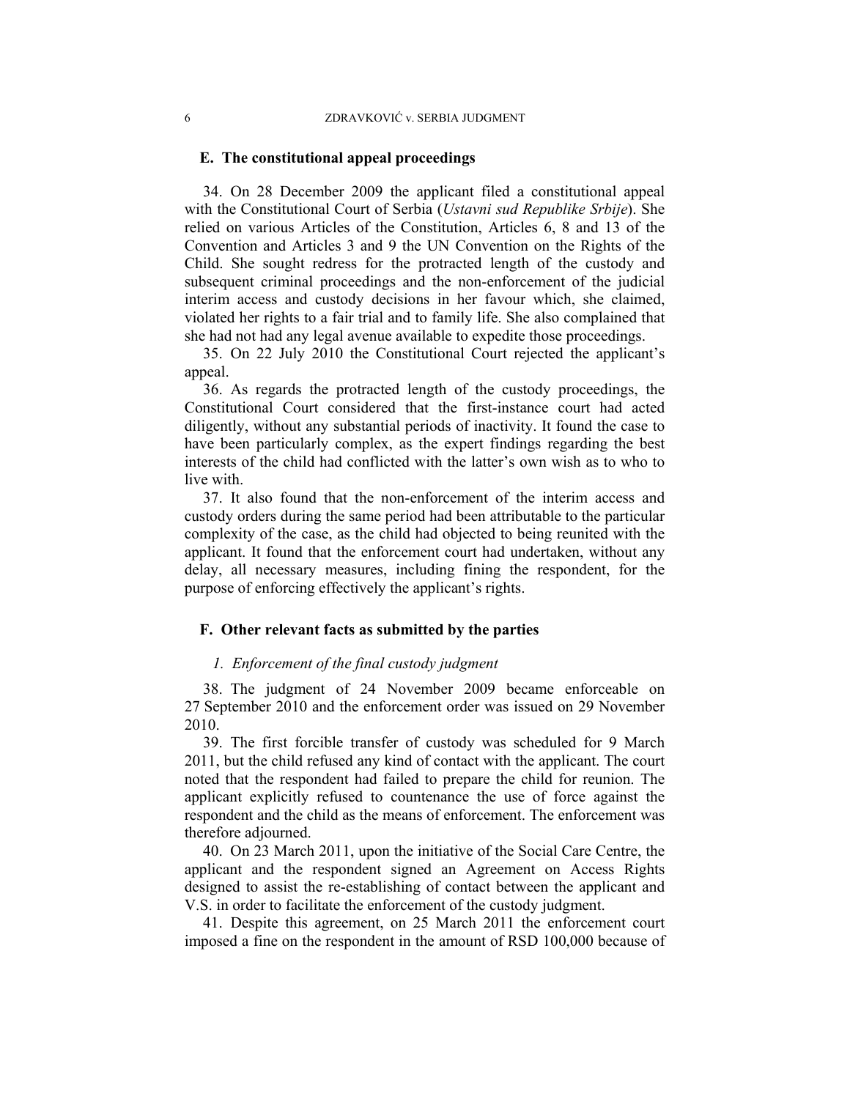### **E. The constitutional appeal proceedings**

34. On 28 December 2009 the applicant filed a constitutional appeal with the Constitutional Court of Serbia (*Ustavni sud Republike Srbije*). She relied on various Articles of the Constitution, Articles 6, 8 and 13 of the Convention and Articles 3 and 9 the UN Convention on the Rights of the Child. She sought redress for the protracted length of the custody and subsequent criminal proceedings and the non-enforcement of the judicial interim access and custody decisions in her favour which, she claimed, violated her rights to a fair trial and to family life. She also complained that she had not had any legal avenue available to expedite those proceedings.

35. On 22 July 2010 the Constitutional Court rejected the applicant's appeal.

36. As regards the protracted length of the custody proceedings, the Constitutional Court considered that the first-instance court had acted diligently, without any substantial periods of inactivity. It found the case to have been particularly complex, as the expert findings regarding the best interests of the child had conflicted with the latter's own wish as to who to live with.

37. It also found that the non-enforcement of the interim access and custody orders during the same period had been attributable to the particular complexity of the case, as the child had objected to being reunited with the applicant. It found that the enforcement court had undertaken, without any delay, all necessary measures, including fining the respondent, for the purpose of enforcing effectively the applicant's rights.

## **F. Other relevant facts as submitted by the parties**

### *1. Enforcement of the final custody judgment*

38. The judgment of 24 November 2009 became enforceable on 27 September 2010 and the enforcement order was issued on 29 November 2010.

39. The first forcible transfer of custody was scheduled for 9 March 2011, but the child refused any kind of contact with the applicant. The court noted that the respondent had failed to prepare the child for reunion. The applicant explicitly refused to countenance the use of force against the respondent and the child as the means of enforcement. The enforcement was therefore adjourned.

40. On 23 March 2011, upon the initiative of the Social Care Centre, the applicant and the respondent signed an Agreement on Access Rights designed to assist the re-establishing of contact between the applicant and V.S. in order to facilitate the enforcement of the custody judgment.

41. Despite this agreement, on 25 March 2011 the enforcement court imposed a fine on the respondent in the amount of RSD 100,000 because of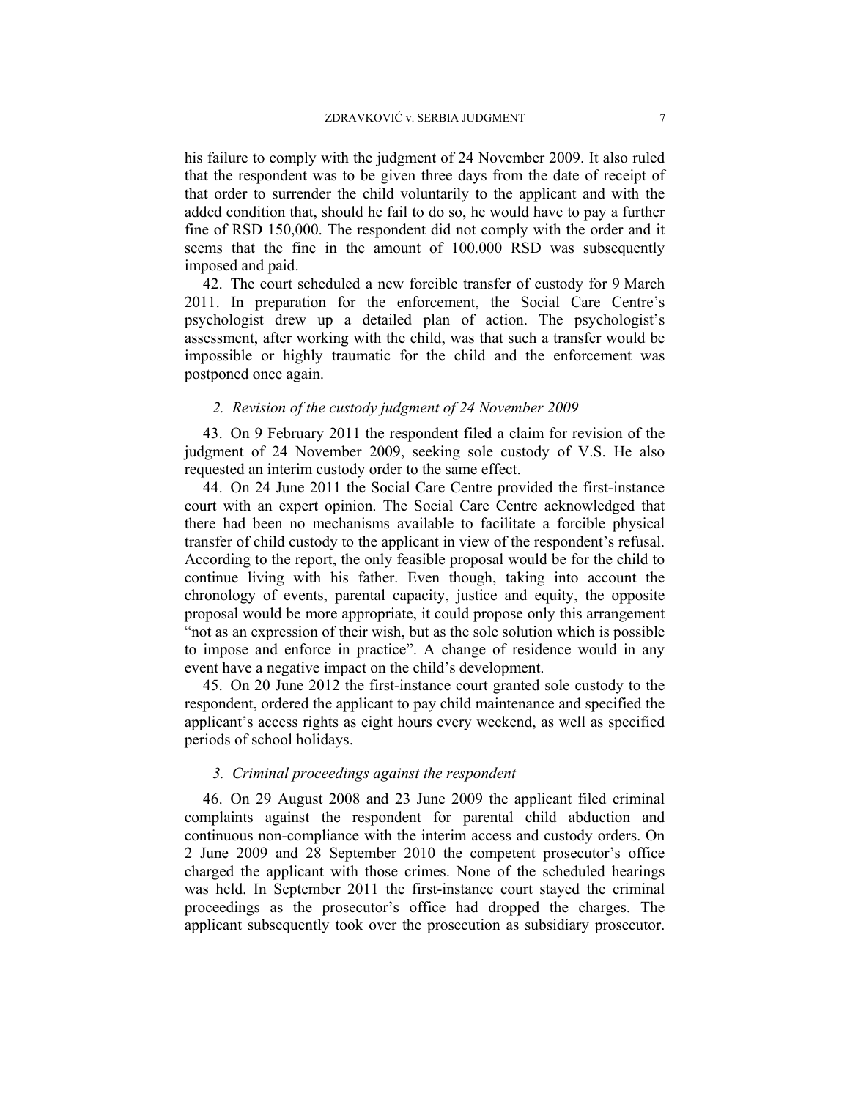his failure to comply with the judgment of 24 November 2009. It also ruled that the respondent was to be given three days from the date of receipt of that order to surrender the child voluntarily to the applicant and with the added condition that, should he fail to do so, he would have to pay a further fine of RSD 150,000. The respondent did not comply with the order and it seems that the fine in the amount of 100.000 RSD was subsequently imposed and paid.

42. The court scheduled a new forcible transfer of custody for 9 March 2011. In preparation for the enforcement, the Social Care Centre's psychologist drew up a detailed plan of action. The psychologist's assessment, after working with the child, was that such a transfer would be impossible or highly traumatic for the child and the enforcement was postponed once again.

## *2. Revision of the custody judgment of 24 November 2009*

43. On 9 February 2011 the respondent filed a claim for revision of the judgment of 24 November 2009, seeking sole custody of V.S. He also requested an interim custody order to the same effect.

44. On 24 June 2011 the Social Care Centre provided the first-instance court with an expert opinion. The Social Care Centre acknowledged that there had been no mechanisms available to facilitate a forcible physical transfer of child custody to the applicant in view of the respondent's refusal. According to the report, the only feasible proposal would be for the child to continue living with his father. Even though, taking into account the chronology of events, parental capacity, justice and equity, the opposite proposal would be more appropriate, it could propose only this arrangement "not as an expression of their wish, but as the sole solution which is possible to impose and enforce in practice". A change of residence would in any event have a negative impact on the child's development.

45. On 20 June 2012 the first-instance court granted sole custody to the respondent, ordered the applicant to pay child maintenance and specified the applicant's access rights as eight hours every weekend, as well as specified periods of school holidays.

## *3. Criminal proceedings against the respondent*

46. On 29 August 2008 and 23 June 2009 the applicant filed criminal complaints against the respondent for parental child abduction and continuous non-compliance with the interim access and custody orders. On 2 June 2009 and 28 September 2010 the competent prosecutor's office charged the applicant with those crimes. None of the scheduled hearings was held. In September 2011 the first-instance court stayed the criminal proceedings as the prosecutor's office had dropped the charges. The applicant subsequently took over the prosecution as subsidiary prosecutor.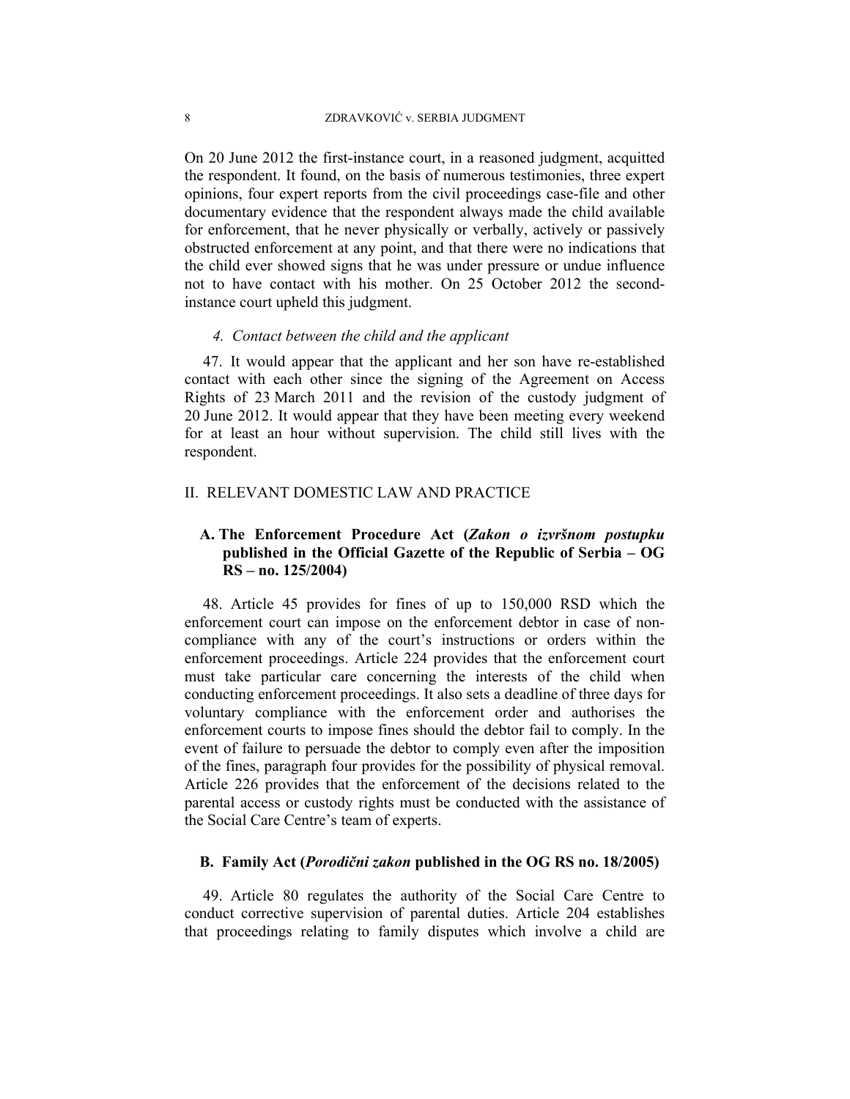On 20 June 2012 the first-instance court, in a reasoned judgment, acquitted the respondent. It found, on the basis of numerous testimonies, three expert opinions, four expert reports from the civil proceedings case-file and other documentary evidence that the respondent always made the child available for enforcement, that he never physically or verbally, actively or passively obstructed enforcement at any point, and that there were no indications that the child ever showed signs that he was under pressure or undue influence not to have contact with his mother. On 25 October 2012 the secondinstance court upheld this judgment.

## *4. Contact between the child and the applicant*

47. It would appear that the applicant and her son have re-established contact with each other since the signing of the Agreement on Access Rights of 23 March 2011 and the revision of the custody judgment of 20 June 2012. It would appear that they have been meeting every weekend for at least an hour without supervision. The child still lives with the respondent.

### II. RELEVANT DOMESTIC LAW AND PRACTICE

## **A. The Enforcement Procedure Act (***Zakon o izvršnom postupku* **published in the Official Gazette of the Republic of Serbia – OG RS – no. 125/2004)**

48. Article 45 provides for fines of up to 150,000 RSD which the enforcement court can impose on the enforcement debtor in case of noncompliance with any of the court's instructions or orders within the enforcement proceedings. Article 224 provides that the enforcement court must take particular care concerning the interests of the child when conducting enforcement proceedings. It also sets a deadline of three days for voluntary compliance with the enforcement order and authorises the enforcement courts to impose fines should the debtor fail to comply. In the event of failure to persuade the debtor to comply even after the imposition of the fines, paragraph four provides for the possibility of physical removal. Article 226 provides that the enforcement of the decisions related to the parental access or custody rights must be conducted with the assistance of the Social Care Centre's team of experts.

## **B. Family Act (***Porodični zakon* **published in the OG RS no. 18/2005)**

49. Article 80 regulates the authority of the Social Care Centre to conduct corrective supervision of parental duties. Article 204 establishes that proceedings relating to family disputes which involve a child are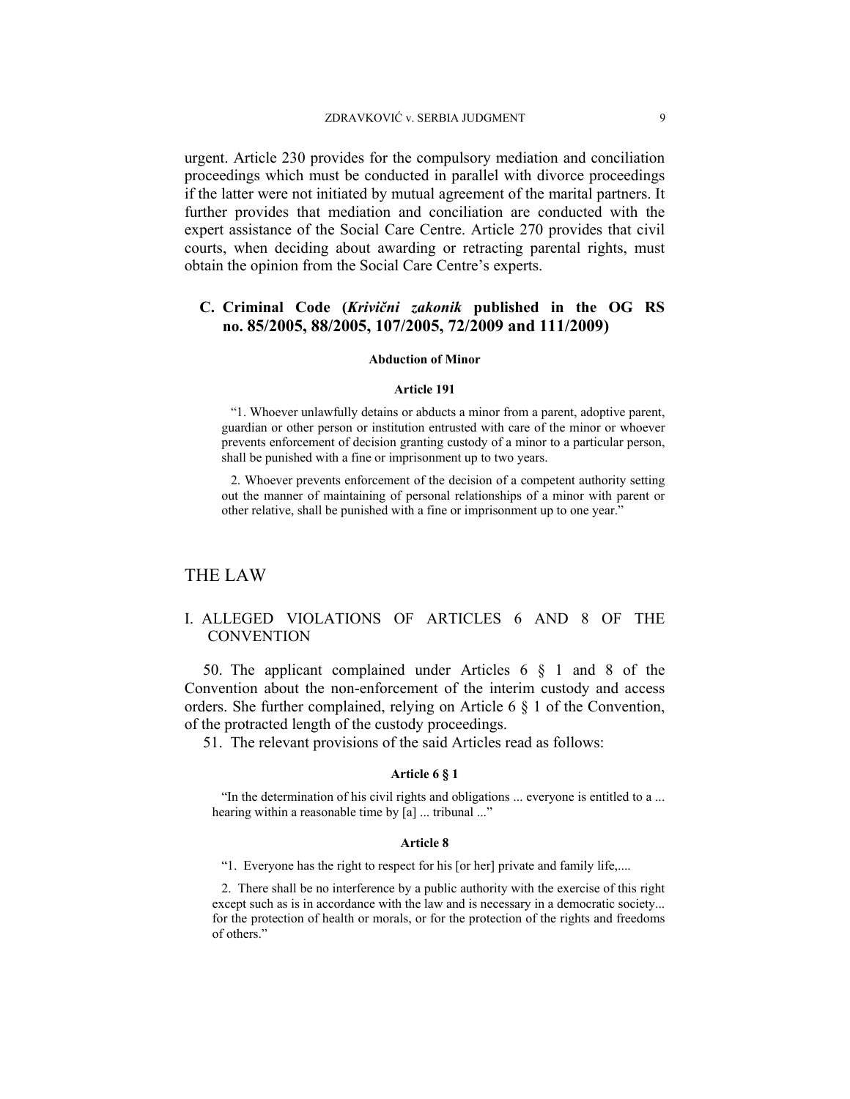urgent. Article 230 provides for the compulsory mediation and conciliation proceedings which must be conducted in parallel with divorce proceedings if the latter were not initiated by mutual agreement of the marital partners. It further provides that mediation and conciliation are conducted with the expert assistance of the Social Care Centre. Article 270 provides that civil courts, when deciding about awarding or retracting parental rights, must obtain the opinion from the Social Care Centre's experts.

## **C. Criminal Code (***Krivični zakonik* **published in the OG RS no. 85/2005, 88/2005, 107/2005, 72/2009 and 111/2009)**

#### **Abduction of Minor**

#### **Article 191**

"1. Whoever unlawfully detains or abducts a minor from a parent, adoptive parent, guardian or other person or institution entrusted with care of the minor or whoever prevents enforcement of decision granting custody of a minor to a particular person, shall be punished with a fine or imprisonment up to two years.

2. Whoever prevents enforcement of the decision of a competent authority setting out the manner of maintaining of personal relationships of a minor with parent or other relative, shall be punished with a fine or imprisonment up to one year."

### THE LAW

## I. ALLEGED VIOLATIONS OF ARTICLES 6 AND 8 OF THE **CONVENTION**

50. The applicant complained under Articles 6 § 1 and 8 of the Convention about the non-enforcement of the interim custody and access orders. She further complained, relying on Article 6 § 1 of the Convention, of the protracted length of the custody proceedings.

51. The relevant provisions of the said Articles read as follows:

#### **Article 6 § 1**

"In the determination of his civil rights and obligations ... everyone is entitled to a ... hearing within a reasonable time by [a] ... tribunal ..."

#### **Article 8**

"1. Everyone has the right to respect for his [or her] private and family life,....

2. There shall be no interference by a public authority with the exercise of this right except such as is in accordance with the law and is necessary in a democratic society... for the protection of health or morals, or for the protection of the rights and freedoms of others."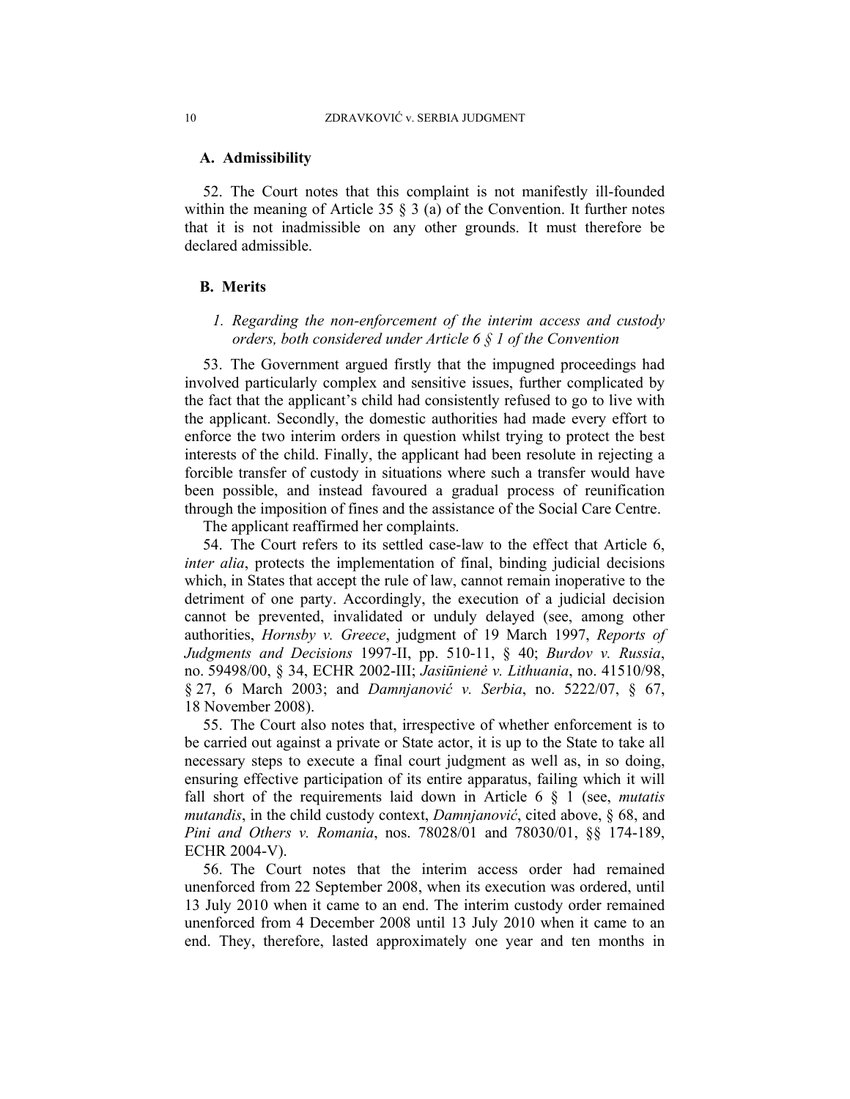### **A. Admissibility**

52. The Court notes that this complaint is not manifestly ill-founded within the meaning of Article 35  $\S$  3 (a) of the Convention. It further notes that it is not inadmissible on any other grounds. It must therefore be declared admissible.

### **B. Merits**

## *1. Regarding the non-enforcement of the interim access and custody orders, both considered under Article 6 § 1 of the Convention*

53. The Government argued firstly that the impugned proceedings had involved particularly complex and sensitive issues, further complicated by the fact that the applicant's child had consistently refused to go to live with the applicant. Secondly, the domestic authorities had made every effort to enforce the two interim orders in question whilst trying to protect the best interests of the child. Finally, the applicant had been resolute in rejecting a forcible transfer of custody in situations where such a transfer would have been possible, and instead favoured a gradual process of reunification through the imposition of fines and the assistance of the Social Care Centre.

The applicant reaffirmed her complaints.

54. The Court refers to its settled case-law to the effect that Article 6, *inter alia*, protects the implementation of final, binding judicial decisions which, in States that accept the rule of law, cannot remain inoperative to the detriment of one party. Accordingly, the execution of a judicial decision cannot be prevented, invalidated or unduly delayed (see, among other authorities, *Hornsby v. Greece*, judgment of 19 March 1997, *Reports of Judgments and Decisions* 1997-II, pp. 510-11, § 40; *Burdov v. Russia*, no. 59498/00, § 34, ECHR 2002-III; *Jasiūnienė v. Lithuania*, no. 41510/98, § 27, 6 March 2003; and *Damnjanović v. Serbia*, no. 5222/07, § 67, 18 November 2008).

55. The Court also notes that, irrespective of whether enforcement is to be carried out against a private or State actor, it is up to the State to take all necessary steps to execute a final court judgment as well as, in so doing, ensuring effective participation of its entire apparatus, failing which it will fall short of the requirements laid down in Article 6 § 1 (see, *mutatis mutandis*, in the child custody context, *Damnjanović*, cited above, § 68, and *Pini and Others v. Romania*, nos. 78028/01 and 78030/01, §§ 174-189, ECHR 2004-V).

56. The Court notes that the interim access order had remained unenforced from 22 September 2008, when its execution was ordered, until 13 July 2010 when it came to an end. The interim custody order remained unenforced from 4 December 2008 until 13 July 2010 when it came to an end. They, therefore, lasted approximately one year and ten months in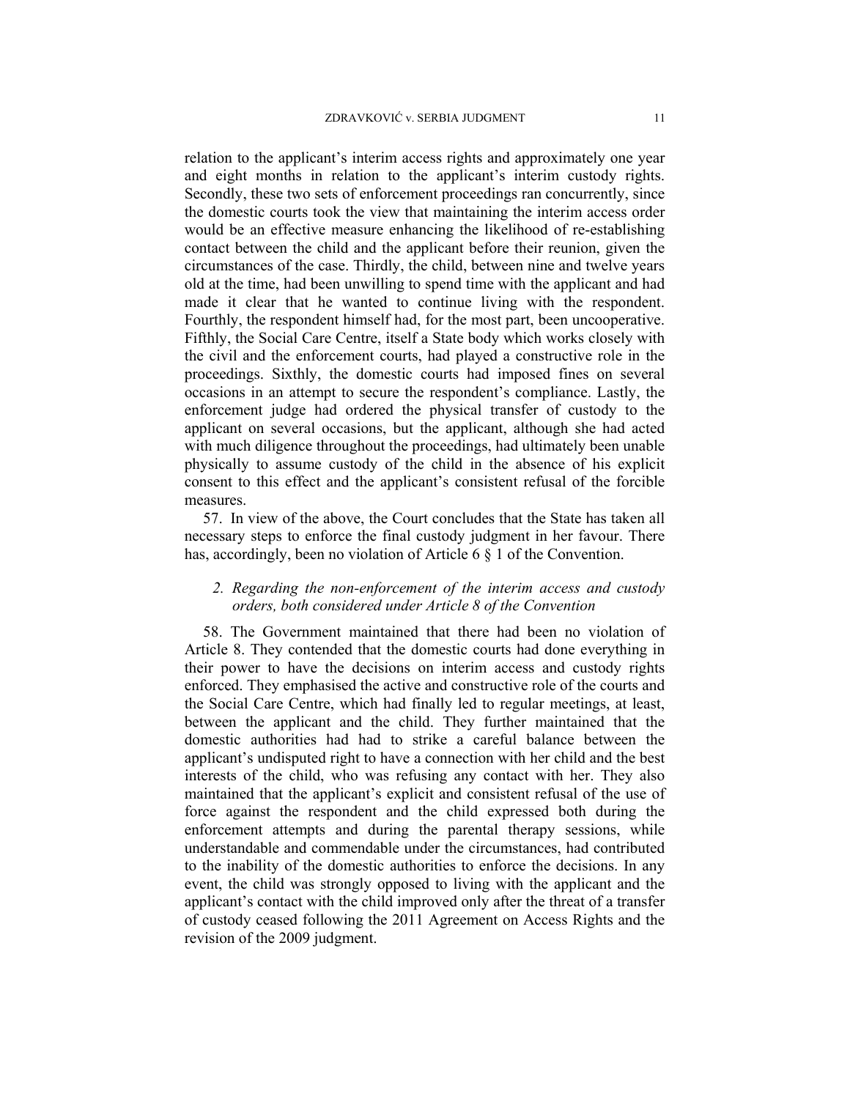relation to the applicant's interim access rights and approximately one year and eight months in relation to the applicant's interim custody rights. Secondly, these two sets of enforcement proceedings ran concurrently, since the domestic courts took the view that maintaining the interim access order would be an effective measure enhancing the likelihood of re-establishing contact between the child and the applicant before their reunion, given the circumstances of the case. Thirdly, the child, between nine and twelve years old at the time, had been unwilling to spend time with the applicant and had made it clear that he wanted to continue living with the respondent. Fourthly, the respondent himself had, for the most part, been uncooperative. Fifthly, the Social Care Centre, itself a State body which works closely with the civil and the enforcement courts, had played a constructive role in the proceedings. Sixthly, the domestic courts had imposed fines on several occasions in an attempt to secure the respondent's compliance. Lastly, the enforcement judge had ordered the physical transfer of custody to the applicant on several occasions, but the applicant, although she had acted with much diligence throughout the proceedings, had ultimately been unable physically to assume custody of the child in the absence of his explicit consent to this effect and the applicant's consistent refusal of the forcible measures.

57. In view of the above, the Court concludes that the State has taken all necessary steps to enforce the final custody judgment in her favour. There has, accordingly, been no violation of Article 6 § 1 of the Convention.

## *2. Regarding the non-enforcement of the interim access and custody orders, both considered under Article 8 of the Convention*

58. The Government maintained that there had been no violation of Article 8. They contended that the domestic courts had done everything in their power to have the decisions on interim access and custody rights enforced. They emphasised the active and constructive role of the courts and the Social Care Centre, which had finally led to regular meetings, at least, between the applicant and the child. They further maintained that the domestic authorities had had to strike a careful balance between the applicant's undisputed right to have a connection with her child and the best interests of the child, who was refusing any contact with her. They also maintained that the applicant's explicit and consistent refusal of the use of force against the respondent and the child expressed both during the enforcement attempts and during the parental therapy sessions, while understandable and commendable under the circumstances, had contributed to the inability of the domestic authorities to enforce the decisions. In any event, the child was strongly opposed to living with the applicant and the applicant's contact with the child improved only after the threat of a transfer of custody ceased following the 2011 Agreement on Access Rights and the revision of the 2009 judgment.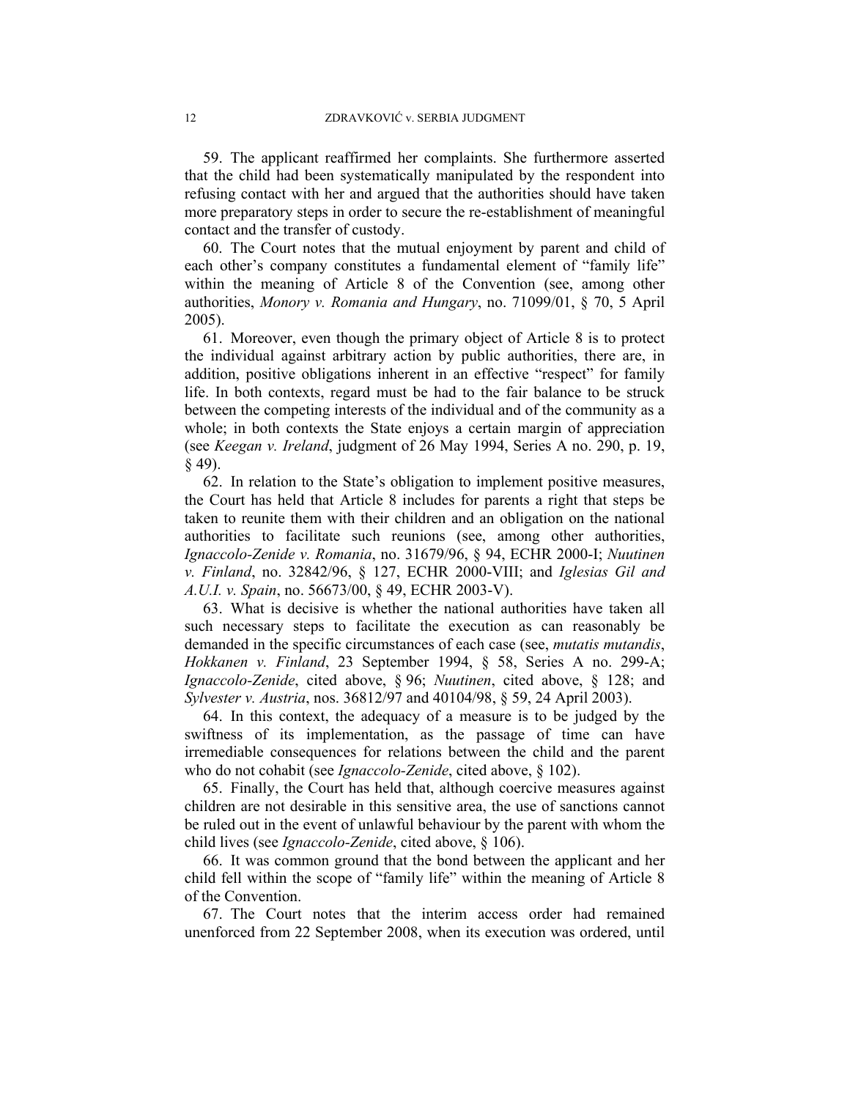59. The applicant reaffirmed her complaints. She furthermore asserted that the child had been systematically manipulated by the respondent into refusing contact with her and argued that the authorities should have taken more preparatory steps in order to secure the re-establishment of meaningful contact and the transfer of custody.

60. The Court notes that the mutual enjoyment by parent and child of each other's company constitutes a fundamental element of "family life" within the meaning of Article 8 of the Convention (see, among other authorities, *Monory v. Romania and Hungary*, no. 71099/01, § 70, 5 April 2005).

61. Moreover, even though the primary object of Article 8 is to protect the individual against arbitrary action by public authorities, there are, in addition, positive obligations inherent in an effective "respect" for family life. In both contexts, regard must be had to the fair balance to be struck between the competing interests of the individual and of the community as a whole; in both contexts the State enjoys a certain margin of appreciation (see *Keegan v. Ireland*, judgment of 26 May 1994, Series A no. 290, p. 19, § 49).

62. In relation to the State's obligation to implement positive measures, the Court has held that Article 8 includes for parents a right that steps be taken to reunite them with their children and an obligation on the national authorities to facilitate such reunions (see, among other authorities, *Ignaccolo-Zenide v. Romania*, no. 31679/96, § 94, ECHR 2000-I; *Nuutinen v. Finland*, no. 32842/96, § 127, ECHR 2000-VIII; and *Iglesias Gil and A.U.I. v. Spain*, no. 56673/00, § 49, ECHR 2003-V).

63. What is decisive is whether the national authorities have taken all such necessary steps to facilitate the execution as can reasonably be demanded in the specific circumstances of each case (see, *mutatis mutandis*, *Hokkanen v. Finland*, 23 September 1994, § 58, Series A no. 299-A; *Ignaccolo-Zenide*, cited above, § 96; *Nuutinen*, cited above, § 128; and *Sylvester v. Austria*, nos. 36812/97 and 40104/98, § 59, 24 April 2003).

64. In this context, the adequacy of a measure is to be judged by the swiftness of its implementation, as the passage of time can have irremediable consequences for relations between the child and the parent who do not cohabit (see *Ignaccolo-Zenide*, cited above, § 102).

65. Finally, the Court has held that, although coercive measures against children are not desirable in this sensitive area, the use of sanctions cannot be ruled out in the event of unlawful behaviour by the parent with whom the child lives (see *Ignaccolo-Zenide*, cited above, § 106).

66. It was common ground that the bond between the applicant and her child fell within the scope of "family life" within the meaning of Article 8 of the Convention.

67. The Court notes that the interim access order had remained unenforced from 22 September 2008, when its execution was ordered, until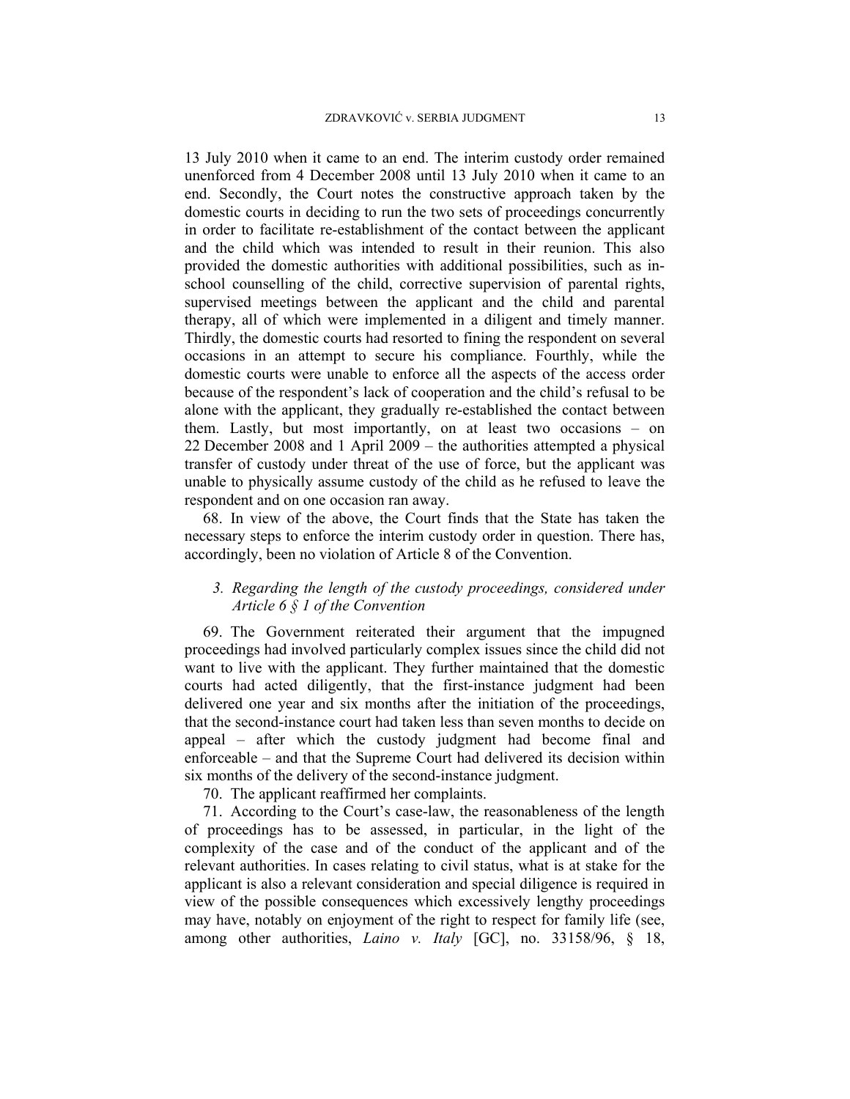13 July 2010 when it came to an end. The interim custody order remained unenforced from 4 December 2008 until 13 July 2010 when it came to an end. Secondly, the Court notes the constructive approach taken by the domestic courts in deciding to run the two sets of proceedings concurrently in order to facilitate re-establishment of the contact between the applicant and the child which was intended to result in their reunion. This also provided the domestic authorities with additional possibilities, such as inschool counselling of the child, corrective supervision of parental rights, supervised meetings between the applicant and the child and parental therapy, all of which were implemented in a diligent and timely manner. Thirdly, the domestic courts had resorted to fining the respondent on several occasions in an attempt to secure his compliance. Fourthly, while the domestic courts were unable to enforce all the aspects of the access order because of the respondent's lack of cooperation and the child's refusal to be alone with the applicant, they gradually re-established the contact between them. Lastly, but most importantly, on at least two occasions - on 22 December 2008 and 1 April 2009  $-$  the authorities attempted a physical transfer of custody under threat of the use of force, but the applicant was unable to physically assume custody of the child as he refused to leave the respondent and on one occasion ran away.

68. In view of the above, the Court finds that the State has taken the necessary steps to enforce the interim custody order in question. There has, accordingly, been no violation of Article 8 of the Convention.

## *3. Regarding the length of the custody proceedings, considered under Article 6 § 1 of the Convention*

69. The Government reiterated their argument that the impugned proceedings had involved particularly complex issues since the child did not want to live with the applicant. They further maintained that the domestic courts had acted diligently, that the first-instance judgment had been delivered one year and six months after the initiation of the proceedings, that the second-instance court had taken less than seven months to decide on appeal – after which the custody judgment had become final and enforceable – and that the Supreme Court had delivered its decision within six months of the delivery of the second-instance judgment.

70. The applicant reaffirmed her complaints.

71. According to the Court's case-law, the reasonableness of the length of proceedings has to be assessed, in particular, in the light of the complexity of the case and of the conduct of the applicant and of the relevant authorities. In cases relating to civil status, what is at stake for the applicant is also a relevant consideration and special diligence is required in view of the possible consequences which excessively lengthy proceedings may have, notably on enjoyment of the right to respect for family life (see, among other authorities, *Laino v. Italy* [GC], no. 33158/96, § 18,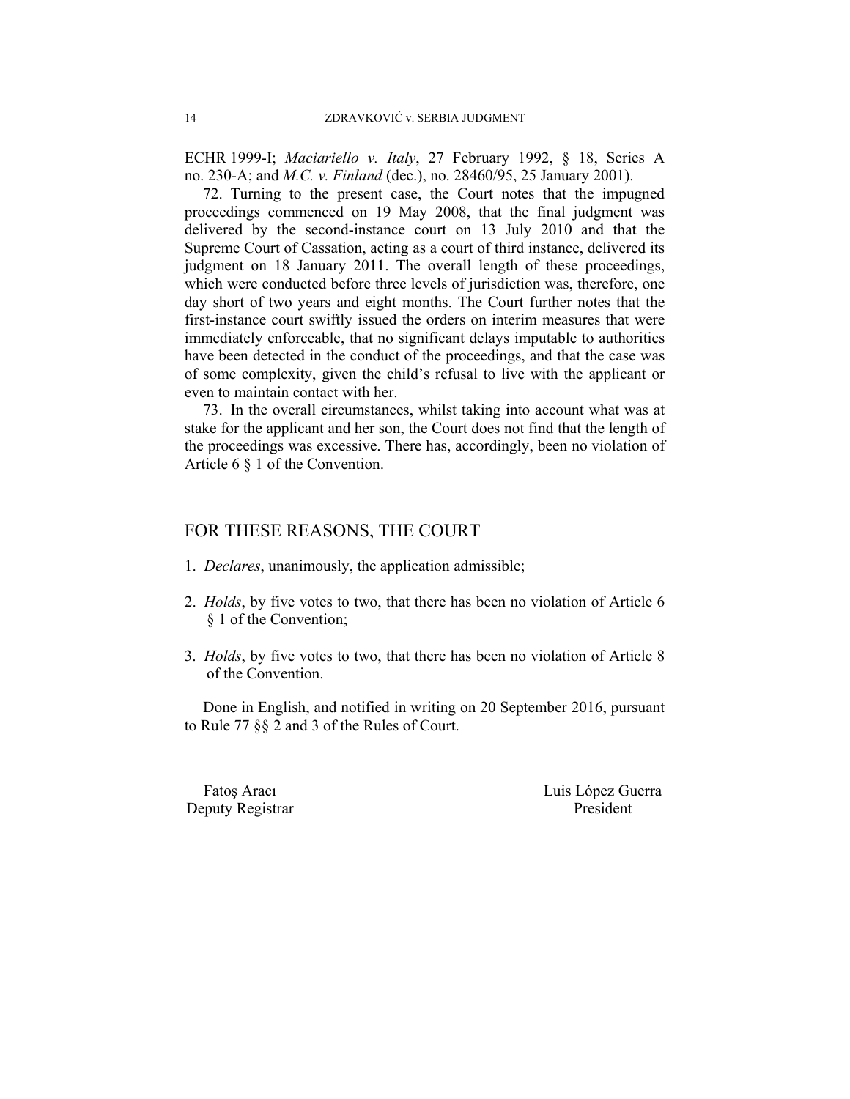ECHR 1999-I; *Maciariello v. Italy*, 27 February 1992, § 18, Series A no. 230-A; and *M.C. v. Finland* (dec.), no. 28460/95, 25 January 2001).

72. Turning to the present case, the Court notes that the impugned proceedings commenced on 19 May 2008, that the final judgment was delivered by the second-instance court on 13 July 2010 and that the Supreme Court of Cassation, acting as a court of third instance, delivered its judgment on 18 January 2011. The overall length of these proceedings, which were conducted before three levels of jurisdiction was, therefore, one day short of two years and eight months. The Court further notes that the first-instance court swiftly issued the orders on interim measures that were immediately enforceable, that no significant delays imputable to authorities have been detected in the conduct of the proceedings, and that the case was of some complexity, given the child's refusal to live with the applicant or even to maintain contact with her.

73. In the overall circumstances, whilst taking into account what was at stake for the applicant and her son, the Court does not find that the length of the proceedings was excessive. There has, accordingly, been no violation of Article 6 § 1 of the Convention.

## FOR THESE REASONS, THE COURT

- 1. *Declares*, unanimously, the application admissible;
- 2. *Holds*, by five votes to two, that there has been no violation of Article 6 § 1 of the Convention;
- 3. *Holds*, by five votes to two, that there has been no violation of Article 8 of the Convention.

Done in English, and notified in writing on 20 September 2016, pursuant to Rule 77 §§ 2 and 3 of the Rules of Court.

Deputy Registrar President

Fatoș Aracı Luis López Guerra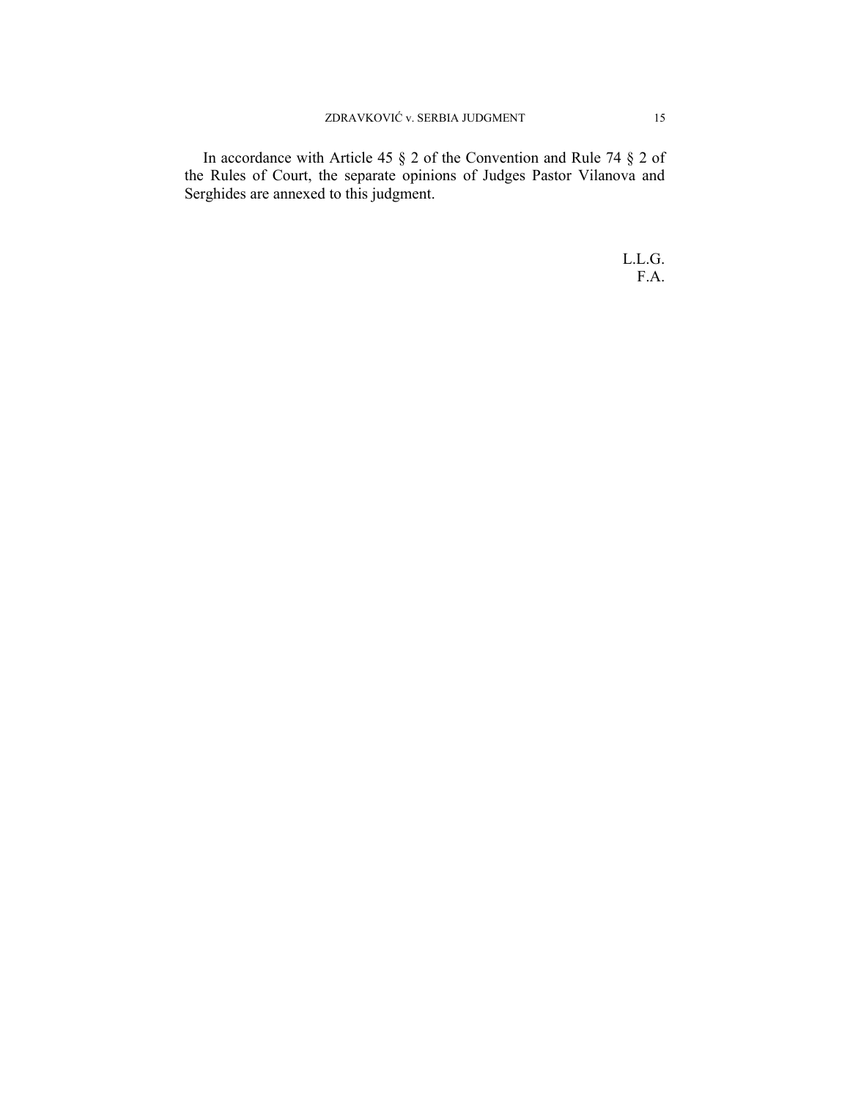In accordance with Article 45 § 2 of the Convention and Rule 74 § 2 of the Rules of Court, the separate opinions of Judges Pastor Vilanova and Serghides are annexed to this judgment.

> L.L.G. F.A.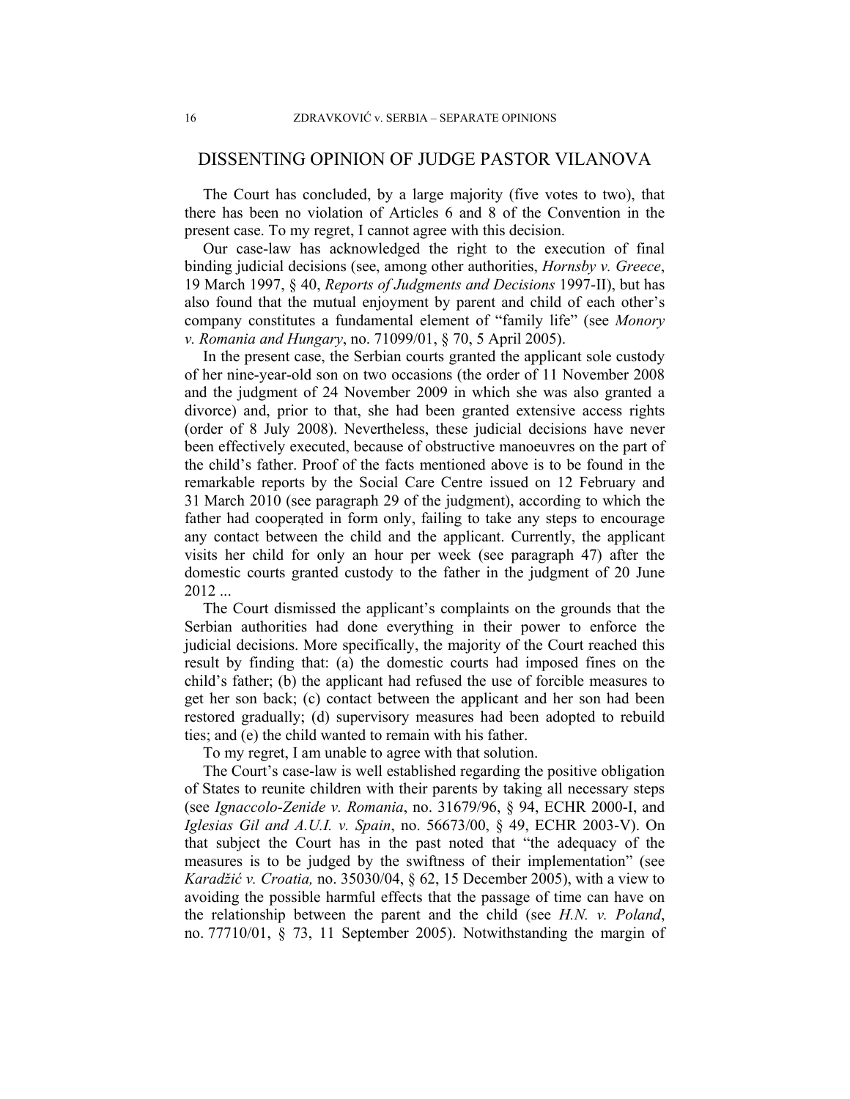## DISSENTING OPINION OF JUDGE PASTOR VILANOVA

The Court has concluded, by a large majority (five votes to two), that there has been no violation of Articles 6 and 8 of the Convention in the present case. To my regret, I cannot agree with this decision.

Our case-law has acknowledged the right to the execution of final binding judicial decisions (see, among other authorities, *Hornsby v. Greece*, 19 March 1997, § 40, *Reports of Judgments and Decisions* 1997-II), but has also found that the mutual enjoyment by parent and child of each other's company constitutes a fundamental element of "family life" (see *Monory v. Romania and Hungary*, no. 71099/01, § 70, 5 April 2005).

In the present case, the Serbian courts granted the applicant sole custody of her nine-year-old son on two occasions (the order of 11 November 2008 and the judgment of 24 November 2009 in which she was also granted a divorce) and, prior to that, she had been granted extensive access rights (order of 8 July 2008). Nevertheless, these judicial decisions have never been effectively executed, because of obstructive manoeuvres on the part of the child's father. Proof of the facts mentioned above is to be found in the remarkable reports by the Social Care Centre issued on 12 February and 31 March 2010 (see paragraph 29 of the judgment), according to which the father had cooperated in form only, failing to take any steps to encourage any contact between the child and the applicant. Currently, the applicant visits her child for only an hour per week (see paragraph 47) after the domestic courts granted custody to the father in the judgment of 20 June 2012 ...

The Court dismissed the applicant's complaints on the grounds that the Serbian authorities had done everything in their power to enforce the judicial decisions. More specifically, the majority of the Court reached this result by finding that: (a) the domestic courts had imposed fines on the child's father; (b) the applicant had refused the use of forcible measures to get her son back; (c) contact between the applicant and her son had been restored gradually; (d) supervisory measures had been adopted to rebuild ties; and (e) the child wanted to remain with his father.

To my regret, I am unable to agree with that solution.

The Court's case-law is well established regarding the positive obligation of States to reunite children with their parents by taking all necessary steps (see *Ignaccolo-Zenide v. Romania*, no. 31679/96, § 94, ECHR 2000-I, and *Iglesias Gil and A.U.I. v. Spain*, no. 56673/00, § 49, ECHR 2003-V). On that subject the Court has in the past noted that "the adequacy of the measures is to be judged by the swiftness of their implementation" (see *Karadžić v. Croatia,* no. 35030/04, § 62, 15 December 2005), with a view to avoiding the possible harmful effects that the passage of time can have on the relationship between the parent and the child (see *H.N. v. Poland*, no. 77710/01, § 73, 11 September 2005). Notwithstanding the margin of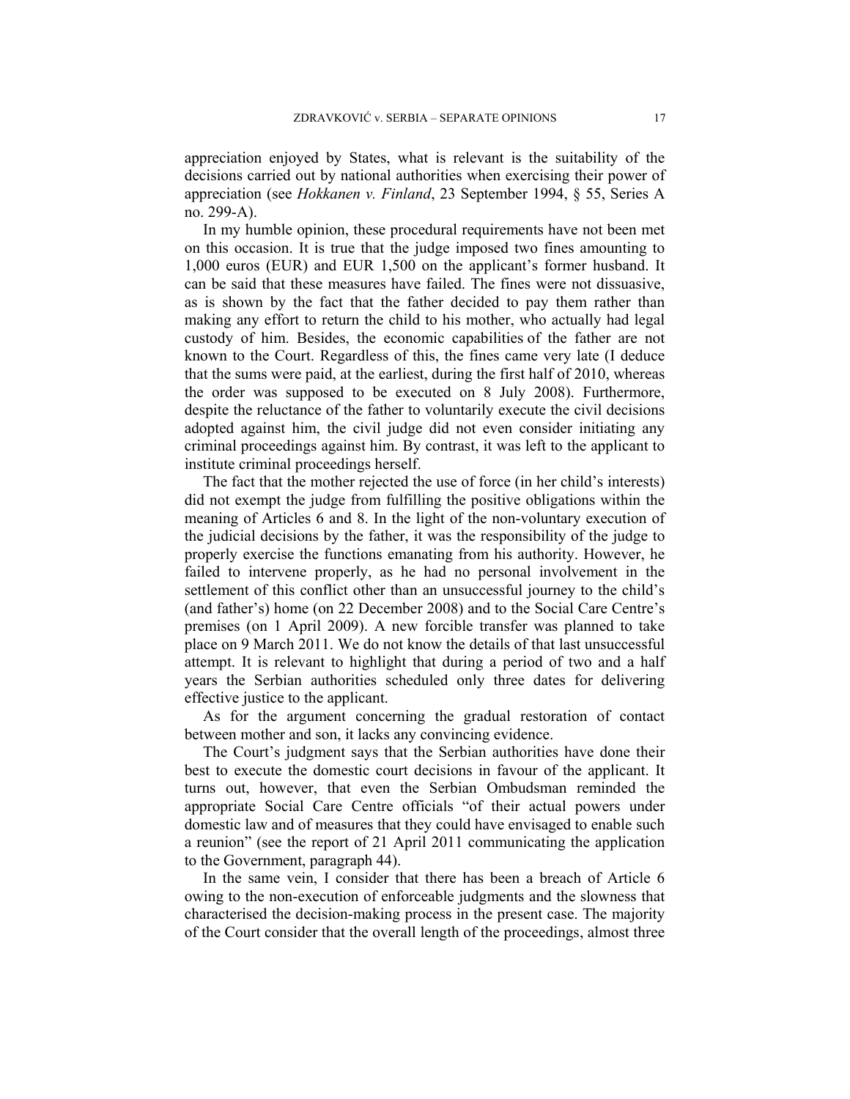appreciation enjoyed by States, what is relevant is the suitability of the decisions carried out by national authorities when exercising their power of appreciation (see *Hokkanen v. Finland*, 23 September 1994, § 55, Series A no. 299-A).

In my humble opinion, these procedural requirements have not been met on this occasion. It is true that the judge imposed two fines amounting to 1,000 euros (EUR) and EUR 1,500 on the applicant's former husband. It can be said that these measures have failed. The fines were not dissuasive, as is shown by the fact that the father decided to pay them rather than making any effort to return the child to his mother, who actually had legal custody of him. Besides, the economic capabilities of the father are not known to the Court. Regardless of this, the fines came very late (I deduce that the sums were paid, at the earliest, during the first half of 2010, whereas the order was supposed to be executed on 8 July 2008). Furthermore, despite the reluctance of the father to voluntarily execute the civil decisions adopted against him, the civil judge did not even consider initiating any criminal proceedings against him. By contrast, it was left to the applicant to institute criminal proceedings herself.

The fact that the mother rejected the use of force (in her child's interests) did not exempt the judge from fulfilling the positive obligations within the meaning of Articles 6 and 8. In the light of the non-voluntary execution of the judicial decisions by the father, it was the responsibility of the judge to properly exercise the functions emanating from his authority. However, he failed to intervene properly, as he had no personal involvement in the settlement of this conflict other than an unsuccessful journey to the child's (and father's) home (on 22 December 2008) and to the Social Care Centre's premises (on 1 April 2009). A new forcible transfer was planned to take place on 9 March 2011. We do not know the details of that last unsuccessful attempt. It is relevant to highlight that during a period of two and a half years the Serbian authorities scheduled only three dates for delivering effective justice to the applicant.

As for the argument concerning the gradual restoration of contact between mother and son, it lacks any convincing evidence.

The Court's judgment says that the Serbian authorities have done their best to execute the domestic court decisions in favour of the applicant. It turns out, however, that even the Serbian Ombudsman reminded the appropriate Social Care Centre officials "of their actual powers under domestic law and of measures that they could have envisaged to enable such a reunion" (see the report of 21 April 2011 communicating the application to the Government, paragraph 44).

In the same vein, I consider that there has been a breach of Article 6 owing to the non-execution of enforceable judgments and the slowness that characterised the decision-making process in the present case. The majority of the Court consider that the overall length of the proceedings, almost three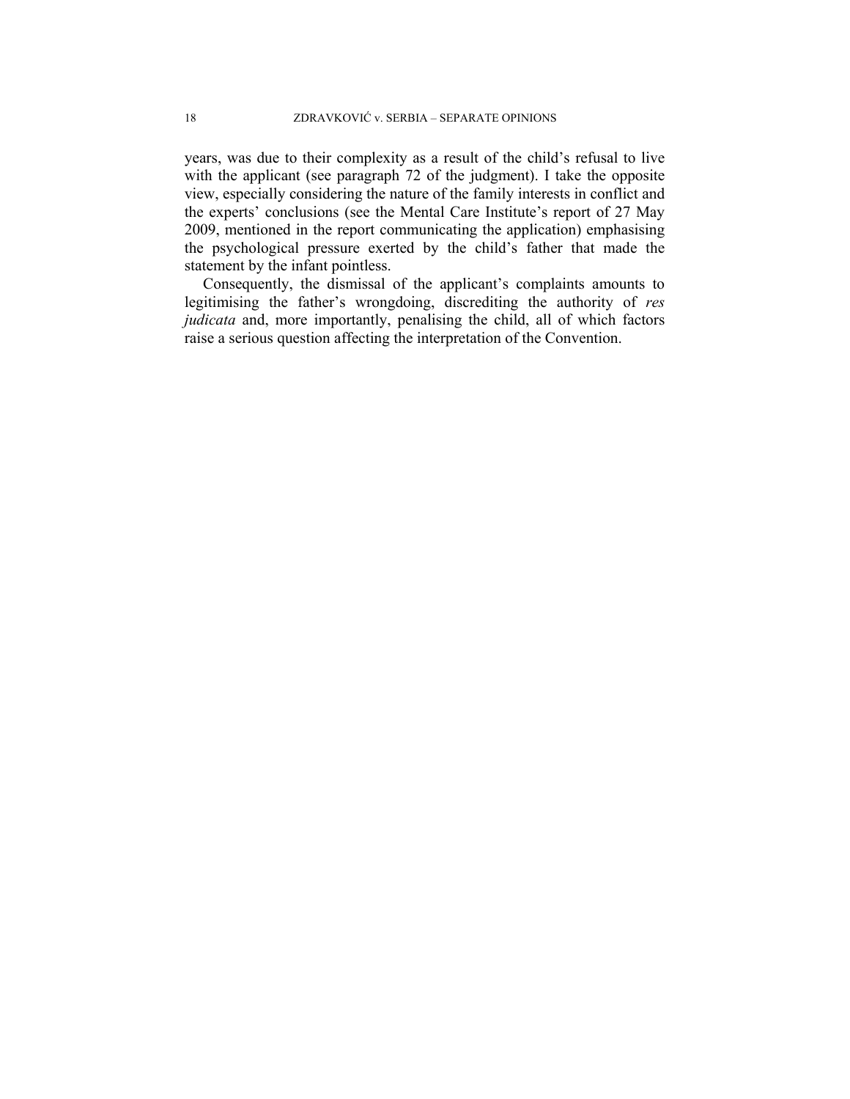years, was due to their complexity as a result of the child's refusal to live with the applicant (see paragraph 72 of the judgment). I take the opposite view, especially considering the nature of the family interests in conflict and the experts' conclusions (see the Mental Care Institute's report of 27 May 2009, mentioned in the report communicating the application) emphasising the psychological pressure exerted by the child's father that made the statement by the infant pointless.

Consequently, the dismissal of the applicant's complaints amounts to legitimising the father's wrongdoing, discrediting the authority of *res judicata* and, more importantly, penalising the child, all of which factors raise a serious question affecting the interpretation of the Convention.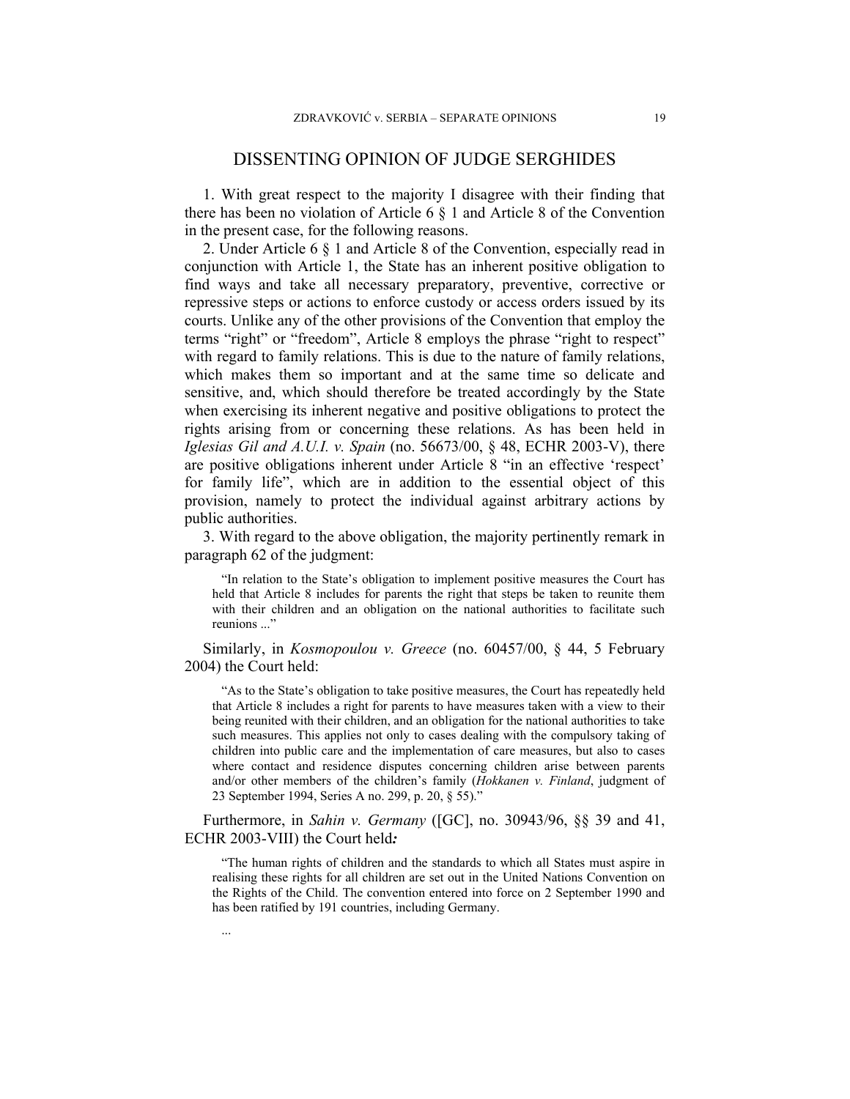## DISSENTING OPINION OF JUDGE SERGHIDES

1. With great respect to the majority I disagree with their finding that there has been no violation of Article 6 § 1 and Article 8 of the Convention in the present case, for the following reasons.

2. Under Article 6 § 1 and Article 8 of the Convention, especially read in conjunction with Article 1, the State has an inherent positive obligation to find ways and take all necessary preparatory, preventive, corrective or repressive steps or actions to enforce custody or access orders issued by its courts. Unlike any of the other provisions of the Convention that employ the terms "right" or "freedom", Article 8 employs the phrase "right to respect" with regard to family relations. This is due to the nature of family relations, which makes them so important and at the same time so delicate and sensitive, and, which should therefore be treated accordingly by the State when exercising its inherent negative and positive obligations to protect the rights arising from or concerning these relations. As has been held in *Iglesias Gil and A.U.I. v. Spain* (no. 56673/00, § 48, ECHR 2003-V), there are positive obligations inherent under Article 8 "in an effective 'respect' for family life", which are in addition to the essential object of this provision, namely to protect the individual against arbitrary actions by public authorities.

3. With regard to the above obligation, the majority pertinently remark in paragraph 62 of the judgment:

"In relation to the State's obligation to implement positive measures the Court has held that Article 8 includes for parents the right that steps be taken to reunite them with their children and an obligation on the national authorities to facilitate such reunions ..."

Similarly, in *Kosmopoulou v. Greece* (no. 60457/00, § 44, 5 February 2004) the Court held:

"As to the State's obligation to take positive measures, the Court has repeatedly held that Article 8 includes a right for parents to have measures taken with a view to their being reunited with their children, and an obligation for the national authorities to take such measures. This applies not only to cases dealing with the compulsory taking of children into public care and the implementation of care measures, but also to cases where contact and residence disputes concerning children arise between parents and/or other members of the children's family (*Hokkanen v. Finland*, judgment of 23 September 1994, Series A no. 299, p. 20, § 55)."

Furthermore, in *Sahin v. Germany* ([GC], no. 30943/96, §§ 39 and 41, ECHR 2003-VIII) the Court held*:*

...

"The human rights of children and the standards to which all States must aspire in realising these rights for all children are set out in the United Nations Convention on the Rights of the Child. The convention entered into force on 2 September 1990 and has been ratified by 191 countries, including Germany.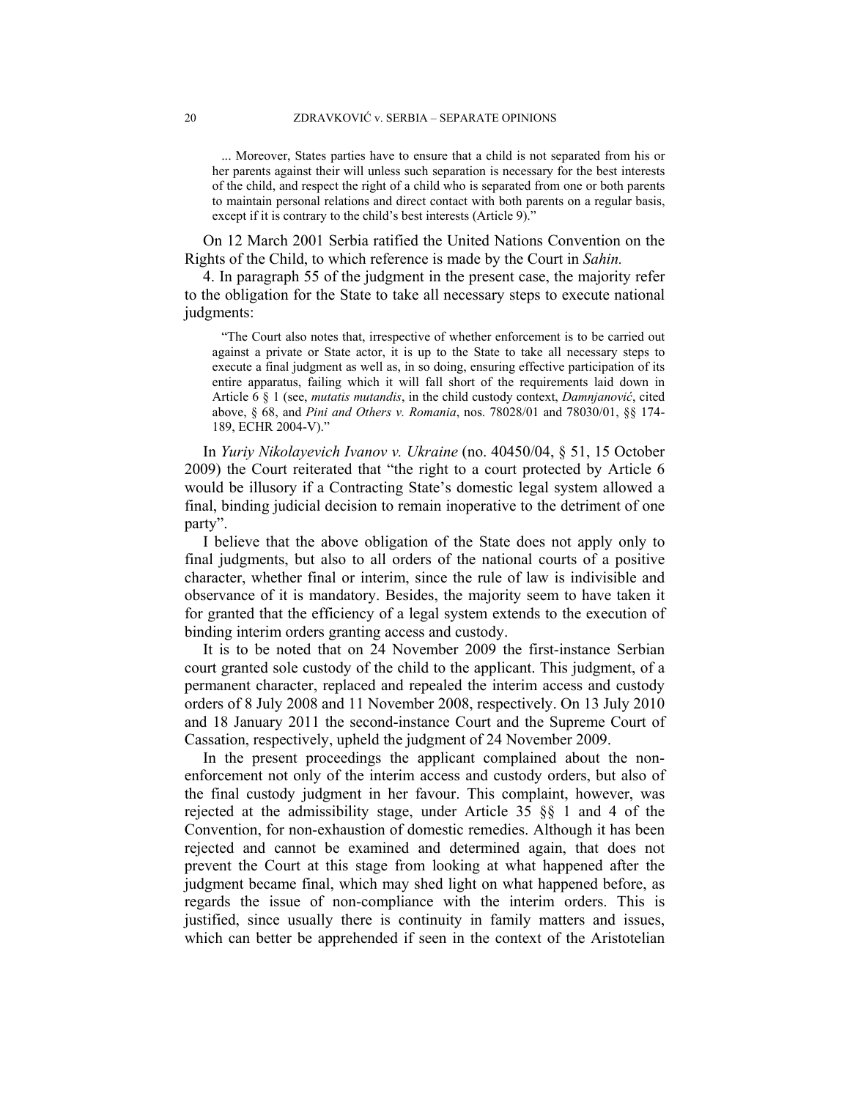... Moreover, States parties have to ensure that a child is not separated from his or her parents against their will unless such separation is necessary for the best interests of the child, and respect the right of a child who is separated from one or both parents to maintain personal relations and direct contact with both parents on a regular basis, except if it is contrary to the child's best interests (Article 9)."

On 12 March 2001 Serbia ratified the United Nations Convention on the Rights of the Child, to which reference is made by the Court in *Sahin.* 

4. In paragraph 55 of the judgment in the present case, the majority refer to the obligation for the State to take all necessary steps to execute national judgments:

"The Court also notes that, irrespective of whether enforcement is to be carried out against a private or State actor, it is up to the State to take all necessary steps to execute a final judgment as well as, in so doing, ensuring effective participation of its entire apparatus, failing which it will fall short of the requirements laid down in Article 6 § 1 (see, *mutatis mutandis*, in the child custody context, *Damnjanović*, cited above, § 68, and *Pini and Others v. Romania*, nos. 78028/01 and 78030/01, §§ 174- 189, ECHR 2004-V)."

In *Yuriy Nikolayevich Ivanov v. Ukraine* (no. 40450/04, § 51, 15 October 2009) the Court reiterated that "the right to a court protected by Article 6 would be illusory if a Contracting State's domestic legal system allowed a final, binding judicial decision to remain inoperative to the detriment of one party".

I believe that the above obligation of the State does not apply only to final judgments, but also to all orders of the national courts of a positive character, whether final or interim, since the rule of law is indivisible and observance of it is mandatory. Besides, the majority seem to have taken it for granted that the efficiency of a legal system extends to the execution of binding interim orders granting access and custody.

It is to be noted that on 24 November 2009 the first-instance Serbian court granted sole custody of the child to the applicant. This judgment, of a permanent character, replaced and repealed the interim access and custody orders of 8 July 2008 and 11 November 2008, respectively. On 13 July 2010 and 18 January 2011 the second-instance Court and the Supreme Court of Cassation, respectively, upheld the judgment of 24 November 2009.

In the present proceedings the applicant complained about the nonenforcement not only of the interim access and custody orders, but also of the final custody judgment in her favour. This complaint, however, was rejected at the admissibility stage, under Article 35 §§ 1 and 4 of the Convention, for non-exhaustion of domestic remedies. Although it has been rejected and cannot be examined and determined again, that does not prevent the Court at this stage from looking at what happened after the judgment became final, which may shed light on what happened before, as regards the issue of non-compliance with the interim orders. This is justified, since usually there is continuity in family matters and issues, which can better be apprehended if seen in the context of the Aristotelian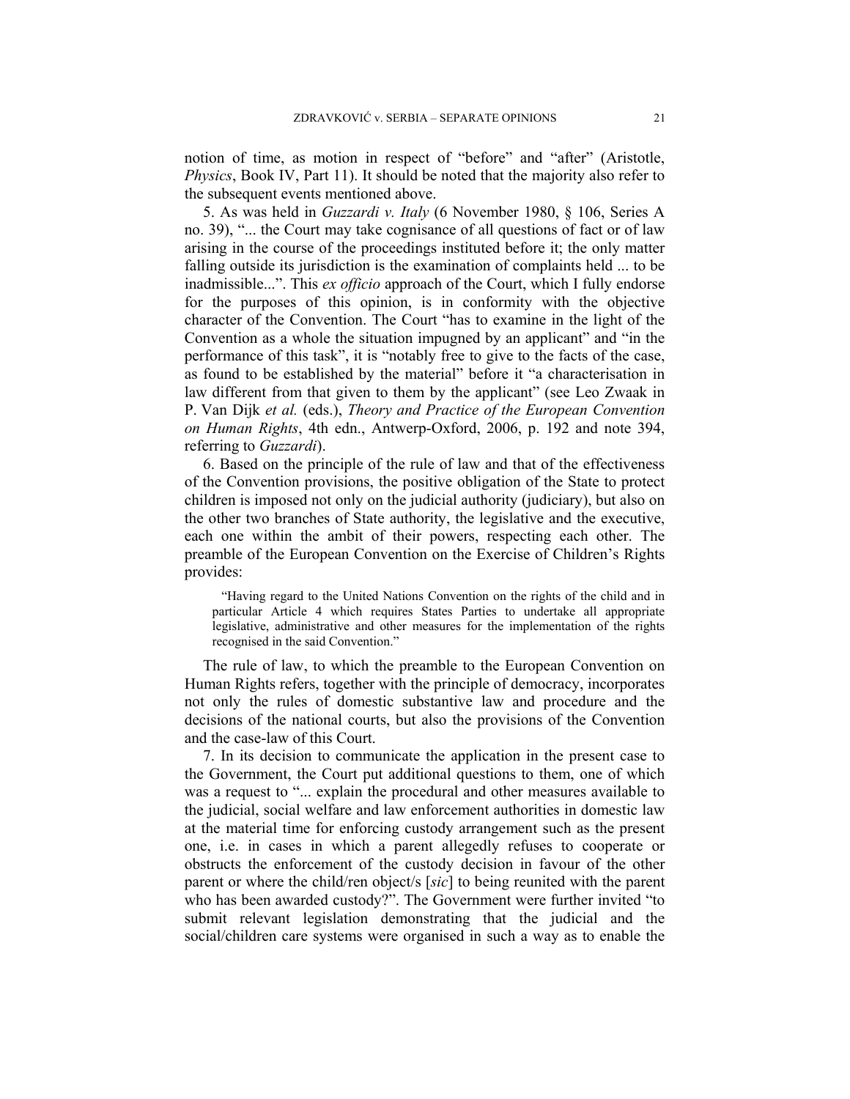notion of time, as motion in respect of "before" and "after" (Aristotle, *Physics*, Book IV, Part 11). It should be noted that the majority also refer to the subsequent events mentioned above.

5. As was held in *Guzzardi v. Italy* (6 November 1980, § 106, Series A no. 39), "... the Court may take cognisance of all questions of fact or of law arising in the course of the proceedings instituted before it; the only matter falling outside its jurisdiction is the examination of complaints held ... to be inadmissible...". This *ex officio* approach of the Court, which I fully endorse for the purposes of this opinion, is in conformity with the objective character of the Convention. The Court "has to examine in the light of the Convention as a whole the situation impugned by an applicant" and "in the performance of this task", it is "notably free to give to the facts of the case, as found to be established by the material" before it "a characterisation in law different from that given to them by the applicant" (see Leo Zwaak in P. Van Dijk *et al.* (eds.), *Theory and Practice of the European Convention on Human Rights*, 4th edn., Antwerp-Oxford, 2006, p. 192 and note 394, referring to *Guzzardi*).

6. Based on the principle of the rule of law and that of the effectiveness of the Convention provisions, the positive obligation of the State to protect children is imposed not only on the judicial authority (judiciary), but also on the other two branches of State authority, the legislative and the executive, each one within the ambit of their powers, respecting each other. The preamble of the European Convention on the Exercise of Children's Rights provides:

"Having regard to the United Nations Convention on the rights of the child and in particular Article 4 which requires States Parties to undertake all appropriate legislative, administrative and other measures for the implementation of the rights recognised in the said Convention."

The rule of law, to which the preamble to the European Convention on Human Rights refers, together with the principle of democracy, incorporates not only the rules of domestic substantive law and procedure and the decisions of the national courts, but also the provisions of the Convention and the case-law of this Court.

7. In its decision to communicate the application in the present case to the Government, the Court put additional questions to them, one of which was a request to "... explain the procedural and other measures available to the judicial, social welfare and law enforcement authorities in domestic law at the material time for enforcing custody arrangement such as the present one, i.e. in cases in which a parent allegedly refuses to cooperate or obstructs the enforcement of the custody decision in favour of the other parent or where the child/ren object/s [*sic*] to being reunited with the parent who has been awarded custody?". The Government were further invited "to submit relevant legislation demonstrating that the judicial and the social/children care systems were organised in such a way as to enable the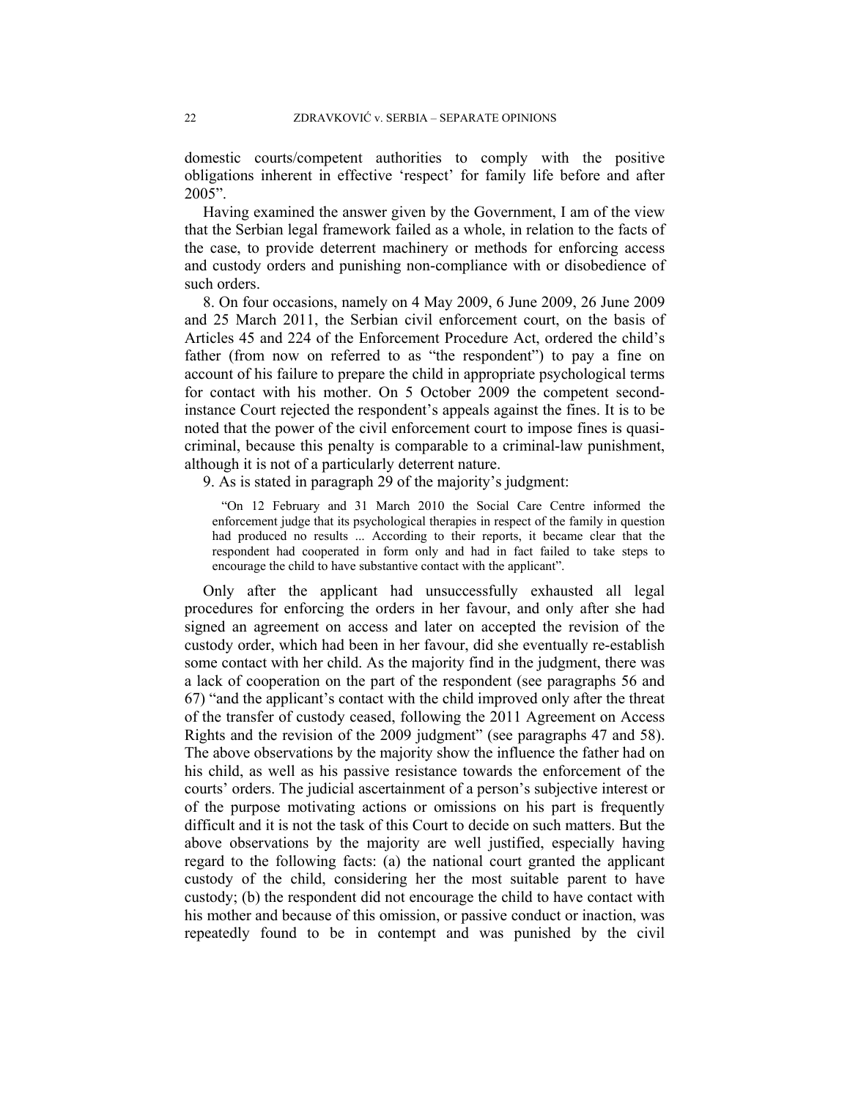domestic courts/competent authorities to comply with the positive obligations inherent in effective 'respect' for family life before and after 2005".

Having examined the answer given by the Government, I am of the view that the Serbian legal framework failed as a whole, in relation to the facts of the case, to provide deterrent machinery or methods for enforcing access and custody orders and punishing non-compliance with or disobedience of such orders.

8. On four occasions, namely on 4 May 2009, 6 June 2009, 26 June 2009 and 25 March 2011, the Serbian civil enforcement court, on the basis of Articles 45 and 224 of the Enforcement Procedure Act, ordered the child's father (from now on referred to as "the respondent") to pay a fine on account of his failure to prepare the child in appropriate psychological terms for contact with his mother. On 5 October 2009 the competent secondinstance Court rejected the respondent's appeals against the fines. It is to be noted that the power of the civil enforcement court to impose fines is quasicriminal, because this penalty is comparable to a criminal-law punishment, although it is not of a particularly deterrent nature.

9. As is stated in paragraph 29 of the majority's judgment:

"On 12 February and 31 March 2010 the Social Care Centre informed the enforcement judge that its psychological therapies in respect of the family in question had produced no results ... According to their reports, it became clear that the respondent had cooperated in form only and had in fact failed to take steps to encourage the child to have substantive contact with the applicant".

Only after the applicant had unsuccessfully exhausted all legal procedures for enforcing the orders in her favour, and only after she had signed an agreement on access and later on accepted the revision of the custody order, which had been in her favour, did she eventually re-establish some contact with her child. As the majority find in the judgment, there was a lack of cooperation on the part of the respondent (see paragraphs 56 and 67) "and the applicant's contact with the child improved only after the threat of the transfer of custody ceased, following the 2011 Agreement on Access Rights and the revision of the 2009 judgment" (see paragraphs 47 and 58). The above observations by the majority show the influence the father had on his child, as well as his passive resistance towards the enforcement of the courts' orders. The judicial ascertainment of a person's subjective interest or of the purpose motivating actions or omissions on his part is frequently difficult and it is not the task of this Court to decide on such matters. But the above observations by the majority are well justified, especially having regard to the following facts: (a) the national court granted the applicant custody of the child, considering her the most suitable parent to have custody; (b) the respondent did not encourage the child to have contact with his mother and because of this omission, or passive conduct or inaction, was repeatedly found to be in contempt and was punished by the civil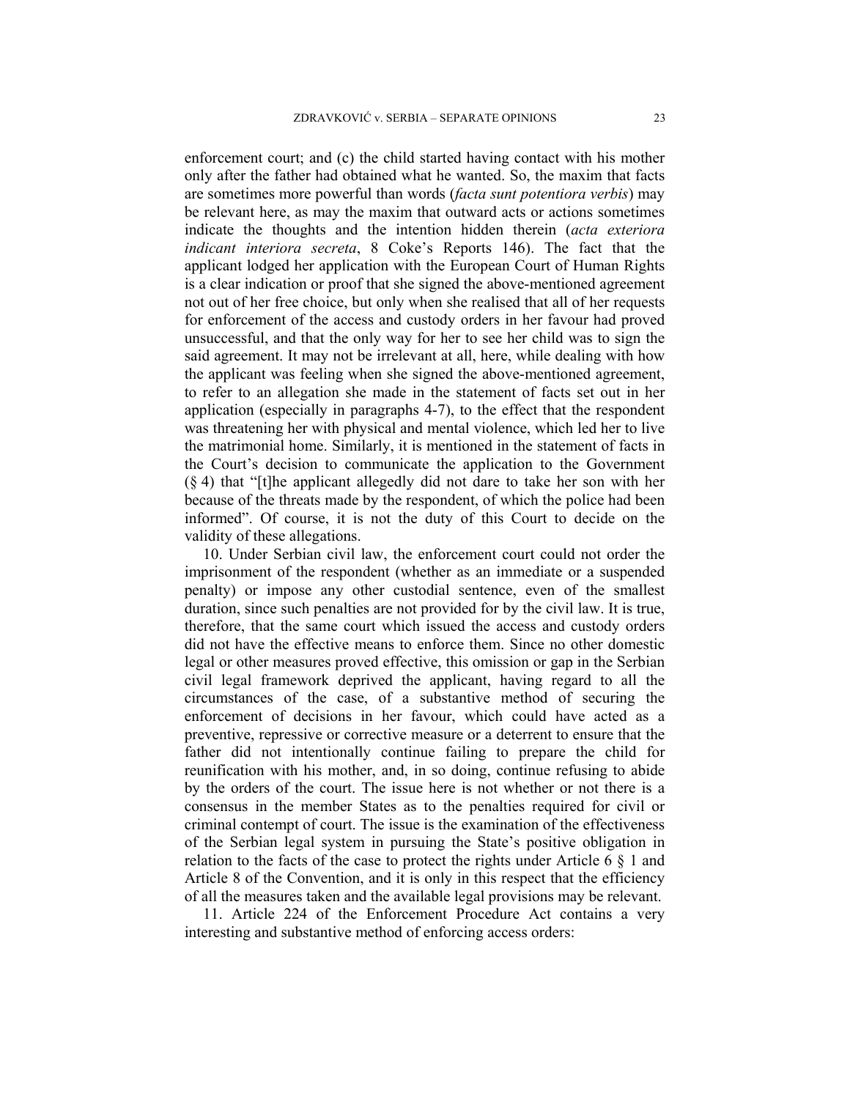enforcement court; and (c) the child started having contact with his mother only after the father had obtained what he wanted. So, the maxim that facts are sometimes more powerful than words (*facta sunt potentiora verbis*) may be relevant here, as may the maxim that outward acts or actions sometimes indicate the thoughts and the intention hidden therein (*acta exteriora indicant interiora secreta*, 8 Coke's Reports 146). The fact that the applicant lodged her application with the European Court of Human Rights is a clear indication or proof that she signed the above-mentioned agreement not out of her free choice, but only when she realised that all of her requests for enforcement of the access and custody orders in her favour had proved unsuccessful, and that the only way for her to see her child was to sign the said agreement. It may not be irrelevant at all, here, while dealing with how the applicant was feeling when she signed the above-mentioned agreement, to refer to an allegation she made in the statement of facts set out in her application (especially in paragraphs 4-7), to the effect that the respondent was threatening her with physical and mental violence, which led her to live the matrimonial home. Similarly, it is mentioned in the statement of facts in the Court's decision to communicate the application to the Government (§ 4) that "[t]he applicant allegedly did not dare to take her son with her because of the threats made by the respondent, of which the police had been informed". Of course, it is not the duty of this Court to decide on the validity of these allegations.

10. Under Serbian civil law, the enforcement court could not order the imprisonment of the respondent (whether as an immediate or a suspended penalty) or impose any other custodial sentence, even of the smallest duration, since such penalties are not provided for by the civil law. It is true, therefore, that the same court which issued the access and custody orders did not have the effective means to enforce them. Since no other domestic legal or other measures proved effective, this omission or gap in the Serbian civil legal framework deprived the applicant, having regard to all the circumstances of the case, of a substantive method of securing the enforcement of decisions in her favour, which could have acted as a preventive, repressive or corrective measure or a deterrent to ensure that the father did not intentionally continue failing to prepare the child for reunification with his mother, and, in so doing, continue refusing to abide by the orders of the court. The issue here is not whether or not there is a consensus in the member States as to the penalties required for civil or criminal contempt of court. The issue is the examination of the effectiveness of the Serbian legal system in pursuing the State's positive obligation in relation to the facts of the case to protect the rights under Article 6  $\S$  1 and Article 8 of the Convention, and it is only in this respect that the efficiency of all the measures taken and the available legal provisions may be relevant.

11. Article 224 of the Enforcement Procedure Act contains a very interesting and substantive method of enforcing access orders: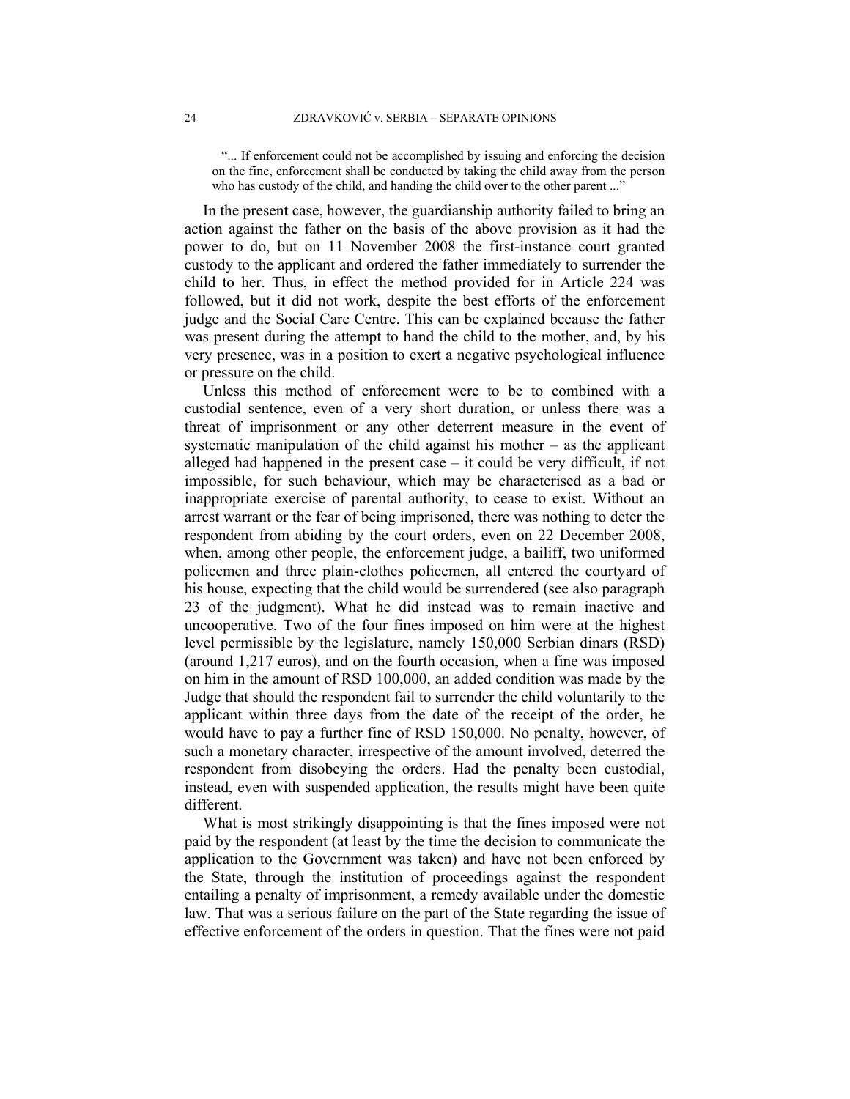"... If enforcement could not be accomplished by issuing and enforcing the decision on the fine, enforcement shall be conducted by taking the child away from the person who has custody of the child, and handing the child over to the other parent ..."

In the present case, however, the guardianship authority failed to bring an action against the father on the basis of the above provision as it had the power to do, but on 11 November 2008 the first-instance court granted custody to the applicant and ordered the father immediately to surrender the child to her. Thus, in effect the method provided for in Article 224 was followed, but it did not work, despite the best efforts of the enforcement judge and the Social Care Centre. This can be explained because the father was present during the attempt to hand the child to the mother, and, by his very presence, was in a position to exert a negative psychological influence or pressure on the child.

Unless this method of enforcement were to be to combined with a custodial sentence, even of a very short duration, or unless there was a threat of imprisonment or any other deterrent measure in the event of systematic manipulation of the child against his mother – as the applicant alleged had happened in the present case – it could be very difficult, if not impossible, for such behaviour, which may be characterised as a bad or inappropriate exercise of parental authority, to cease to exist. Without an arrest warrant or the fear of being imprisoned, there was nothing to deter the respondent from abiding by the court orders, even on 22 December 2008, when, among other people, the enforcement judge, a bailiff, two uniformed policemen and three plain-clothes policemen, all entered the courtyard of his house, expecting that the child would be surrendered (see also paragraph 23 of the judgment). What he did instead was to remain inactive and uncooperative. Two of the four fines imposed on him were at the highest level permissible by the legislature, namely 150,000 Serbian dinars (RSD) (around 1,217 euros), and on the fourth occasion, when a fine was imposed on him in the amount of RSD 100,000, an added condition was made by the Judge that should the respondent fail to surrender the child voluntarily to the applicant within three days from the date of the receipt of the order, he would have to pay a further fine of RSD 150,000. No penalty, however, of such a monetary character, irrespective of the amount involved, deterred the respondent from disobeying the orders. Had the penalty been custodial, instead, even with suspended application, the results might have been quite different.

What is most strikingly disappointing is that the fines imposed were not paid by the respondent (at least by the time the decision to communicate the application to the Government was taken) and have not been enforced by the State, through the institution of proceedings against the respondent entailing a penalty of imprisonment, a remedy available under the domestic law. That was a serious failure on the part of the State regarding the issue of effective enforcement of the orders in question. That the fines were not paid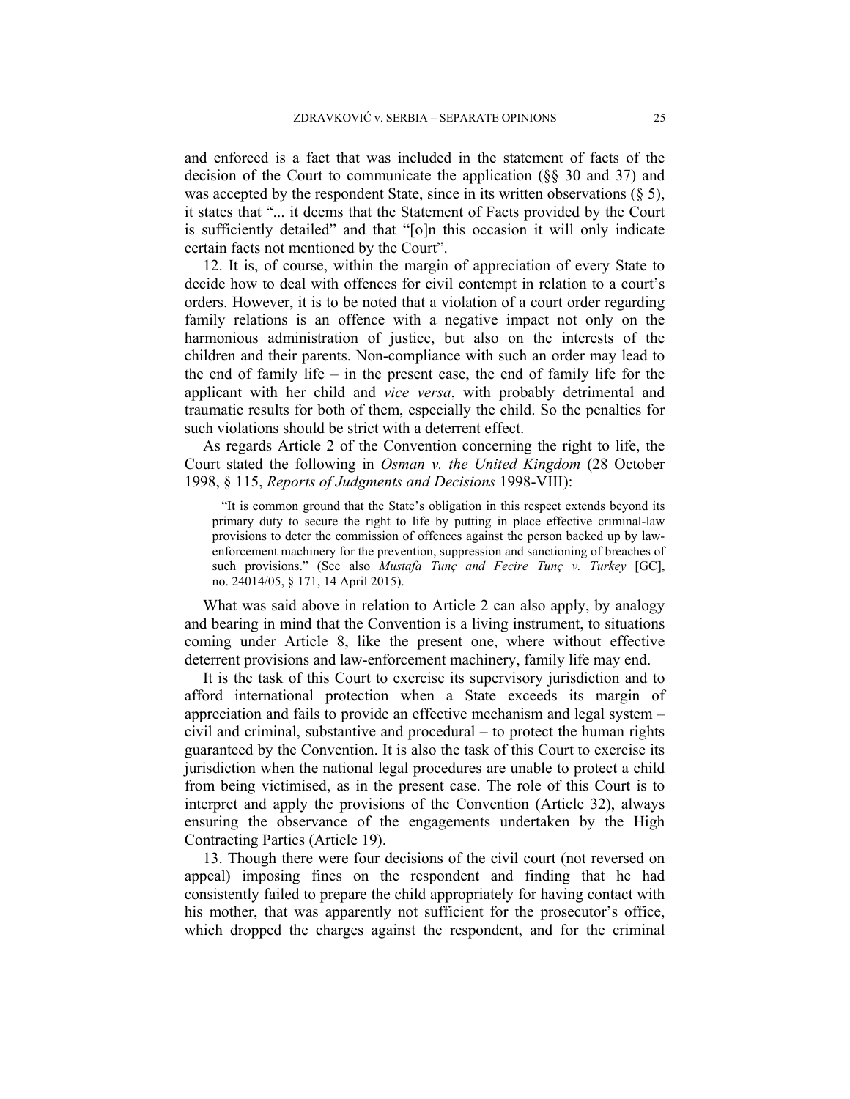and enforced is a fact that was included in the statement of facts of the decision of the Court to communicate the application (§§ 30 and 37) and was accepted by the respondent State, since in its written observations  $(\S 5)$ , it states that "... it deems that the Statement of Facts provided by the Court is sufficiently detailed" and that "[o]n this occasion it will only indicate certain facts not mentioned by the Court".

12. It is, of course, within the margin of appreciation of every State to decide how to deal with offences for civil contempt in relation to a court's orders. However, it is to be noted that a violation of a court order regarding family relations is an offence with a negative impact not only on the harmonious administration of justice, but also on the interests of the children and their parents. Non-compliance with such an order may lead to the end of family life – in the present case, the end of family life for the applicant with her child and *vice versa*, with probably detrimental and traumatic results for both of them, especially the child. So the penalties for such violations should be strict with a deterrent effect.

As regards Article 2 of the Convention concerning the right to life, the Court stated the following in *Osman v. the United Kingdom* (28 October 1998, § 115, *Reports of Judgments and Decisions* 1998-VIII):

"It is common ground that the State's obligation in this respect extends beyond its primary duty to secure the right to life by putting in place effective criminal-law provisions to deter the commission of offences against the person backed up by lawenforcement machinery for the prevention, suppression and sanctioning of breaches of such provisions." (See also *Mustafa Tunç and Fecire Tunç v. Turkey* [GC], no. 24014/05, § 171, 14 April 2015).

What was said above in relation to Article 2 can also apply, by analogy and bearing in mind that the Convention is a living instrument, to situations coming under Article 8, like the present one, where without effective deterrent provisions and law-enforcement machinery, family life may end.

It is the task of this Court to exercise its supervisory jurisdiction and to afford international protection when a State exceeds its margin of appreciation and fails to provide an effective mechanism and legal system – civil and criminal, substantive and procedural – to protect the human rights guaranteed by the Convention. It is also the task of this Court to exercise its jurisdiction when the national legal procedures are unable to protect a child from being victimised, as in the present case. The role of this Court is to interpret and apply the provisions of the Convention (Article 32), always ensuring the observance of the engagements undertaken by the High Contracting Parties (Article 19).

13. Though there were four decisions of the civil court (not reversed on appeal) imposing fines on the respondent and finding that he had consistently failed to prepare the child appropriately for having contact with his mother, that was apparently not sufficient for the prosecutor's office, which dropped the charges against the respondent, and for the criminal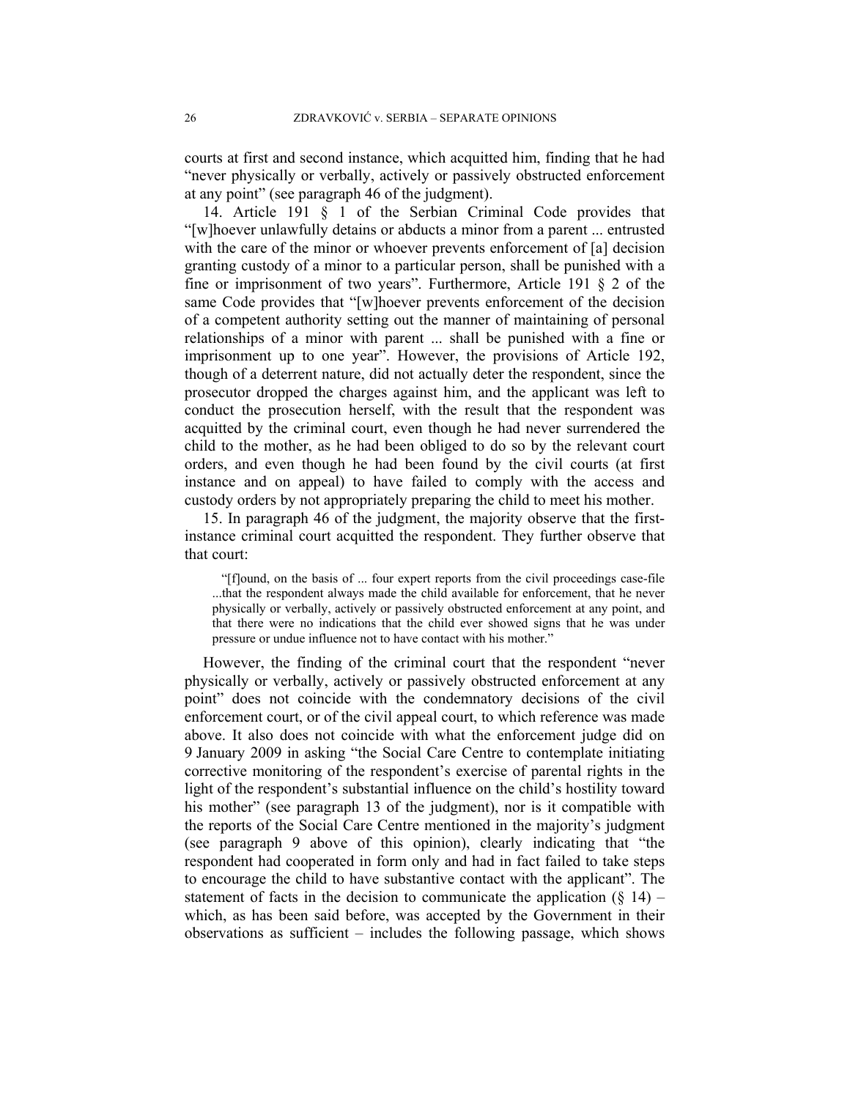courts at first and second instance, which acquitted him, finding that he had "never physically or verbally, actively or passively obstructed enforcement at any point" (see paragraph 46 of the judgment).

14. Article 191 § 1 of the Serbian Criminal Code provides that "[w]hoever unlawfully detains or abducts a minor from a parent ... entrusted with the care of the minor or whoever prevents enforcement of [a] decision granting custody of a minor to a particular person, shall be punished with a fine or imprisonment of two years". Furthermore, Article 191 § 2 of the same Code provides that "[w]hoever prevents enforcement of the decision of a competent authority setting out the manner of maintaining of personal relationships of a minor with parent ... shall be punished with a fine or imprisonment up to one year". However, the provisions of Article 192, though of a deterrent nature, did not actually deter the respondent, since the prosecutor dropped the charges against him, and the applicant was left to conduct the prosecution herself, with the result that the respondent was acquitted by the criminal court, even though he had never surrendered the child to the mother, as he had been obliged to do so by the relevant court orders, and even though he had been found by the civil courts (at first instance and on appeal) to have failed to comply with the access and custody orders by not appropriately preparing the child to meet his mother.

15. In paragraph 46 of the judgment, the majority observe that the firstinstance criminal court acquitted the respondent. They further observe that that court:

"[f]ound, on the basis of ... four expert reports from the civil proceedings case-file ...that the respondent always made the child available for enforcement, that he never physically or verbally, actively or passively obstructed enforcement at any point, and that there were no indications that the child ever showed signs that he was under pressure or undue influence not to have contact with his mother."

However, the finding of the criminal court that the respondent "never physically or verbally, actively or passively obstructed enforcement at any point" does not coincide with the condemnatory decisions of the civil enforcement court, or of the civil appeal court, to which reference was made above. It also does not coincide with what the enforcement judge did on 9 January 2009 in asking "the Social Care Centre to contemplate initiating corrective monitoring of the respondent's exercise of parental rights in the light of the respondent's substantial influence on the child's hostility toward his mother" (see paragraph 13 of the judgment), nor is it compatible with the reports of the Social Care Centre mentioned in the majority's judgment (see paragraph 9 above of this opinion), clearly indicating that "the respondent had cooperated in form only and had in fact failed to take steps to encourage the child to have substantive contact with the applicant". The statement of facts in the decision to communicate the application  $(\S 14)$  – which, as has been said before, was accepted by the Government in their observations as sufficient – includes the following passage, which shows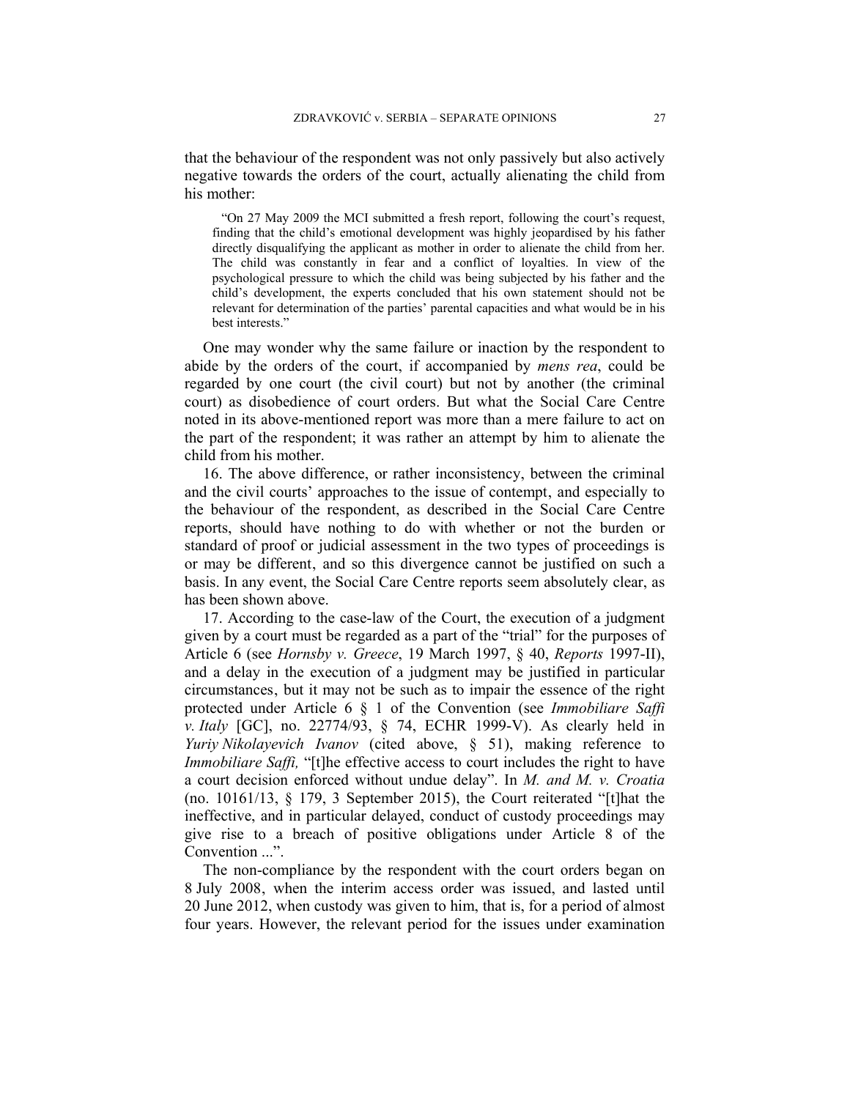that the behaviour of the respondent was not only passively but also actively negative towards the orders of the court, actually alienating the child from his mother:

"On 27 May 2009 the MCI submitted a fresh report, following the court's request, finding that the child's emotional development was highly jeopardised by his father directly disqualifying the applicant as mother in order to alienate the child from her. The child was constantly in fear and a conflict of loyalties. In view of the psychological pressure to which the child was being subjected by his father and the child's development, the experts concluded that his own statement should not be relevant for determination of the parties' parental capacities and what would be in his best interests."

One may wonder why the same failure or inaction by the respondent to abide by the orders of the court, if accompanied by *mens rea*, could be regarded by one court (the civil court) but not by another (the criminal court) as disobedience of court orders. But what the Social Care Centre noted in its above-mentioned report was more than a mere failure to act on the part of the respondent; it was rather an attempt by him to alienate the child from his mother.

16. The above difference, or rather inconsistency, between the criminal and the civil courts' approaches to the issue of contempt, and especially to the behaviour of the respondent, as described in the Social Care Centre reports, should have nothing to do with whether or not the burden or standard of proof or judicial assessment in the two types of proceedings is or may be different, and so this divergence cannot be justified on such a basis. In any event, the Social Care Centre reports seem absolutely clear, as has been shown above.

17. According to the case-law of the Court, the execution of a judgment given by a court must be regarded as a part of the "trial" for the purposes of Article 6 (see *Hornsby v. Greece*, 19 March 1997, § 40, *Reports* 1997-II), and a delay in the execution of a judgment may be justified in particular circumstances, but it may not be such as to impair the essence of the right protected under Article 6 § 1 of the Convention (see *Immobiliare Saffi v. Italy* [GC], no. 22774/93, § 74, ECHR 1999-V). As clearly held in *Yuriy Nikolayevich Ivanov* (cited above, § 51), making reference to *Immobiliare Saffi*, "[t]he effective access to court includes the right to have a court decision enforced without undue delay". In *M. and M. v. Croatia* (no. 10161/13, § 179, 3 September 2015), the Court reiterated "[t]hat the ineffective, and in particular delayed, conduct of custody proceedings may give rise to a breach of positive obligations under Article 8 of the Convention ...".

The non-compliance by the respondent with the court orders began on 8 July 2008, when the interim access order was issued, and lasted until 20 June 2012, when custody was given to him, that is, for a period of almost four years. However, the relevant period for the issues under examination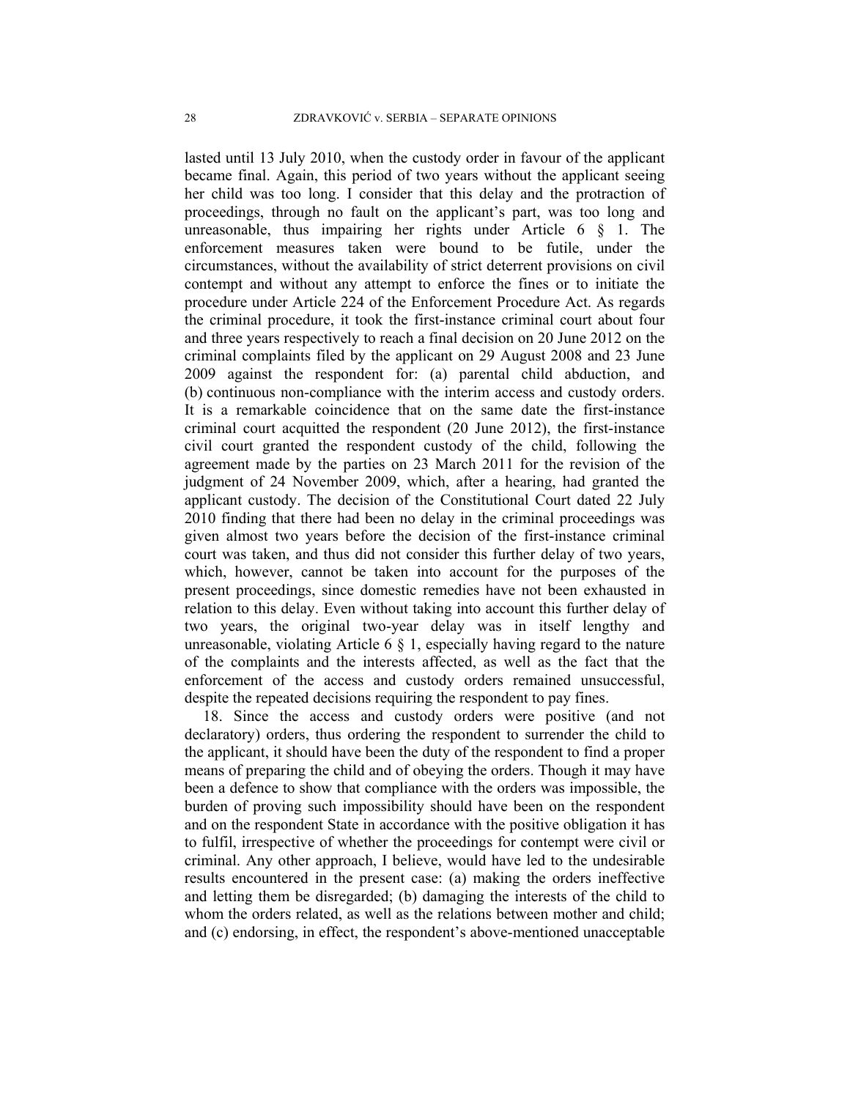lasted until 13 July 2010, when the custody order in favour of the applicant became final. Again, this period of two years without the applicant seeing her child was too long. I consider that this delay and the protraction of proceedings, through no fault on the applicant's part, was too long and unreasonable, thus impairing her rights under Article  $6 \S 1$ . The enforcement measures taken were bound to be futile, under the circumstances, without the availability of strict deterrent provisions on civil contempt and without any attempt to enforce the fines or to initiate the procedure under Article 224 of the Enforcement Procedure Act. As regards the criminal procedure, it took the first-instance criminal court about four and three years respectively to reach a final decision on 20 June 2012 on the criminal complaints filed by the applicant on 29 August 2008 and 23 June 2009 against the respondent for: (a) parental child abduction, and (b) continuous non-compliance with the interim access and custody orders. It is a remarkable coincidence that on the same date the first-instance criminal court acquitted the respondent (20 June 2012), the first-instance civil court granted the respondent custody of the child, following the agreement made by the parties on 23 March 2011 for the revision of the judgment of 24 November 2009, which, after a hearing, had granted the applicant custody. The decision of the Constitutional Court dated 22 July 2010 finding that there had been no delay in the criminal proceedings was given almost two years before the decision of the first-instance criminal court was taken, and thus did not consider this further delay of two years, which, however, cannot be taken into account for the purposes of the present proceedings, since domestic remedies have not been exhausted in relation to this delay. Even without taking into account this further delay of two years, the original two-year delay was in itself lengthy and unreasonable, violating Article 6  $\S$  1, especially having regard to the nature of the complaints and the interests affected, as well as the fact that the enforcement of the access and custody orders remained unsuccessful, despite the repeated decisions requiring the respondent to pay fines.

18. Since the access and custody orders were positive (and not declaratory) orders, thus ordering the respondent to surrender the child to the applicant, it should have been the duty of the respondent to find a proper means of preparing the child and of obeying the orders. Though it may have been a defence to show that compliance with the orders was impossible, the burden of proving such impossibility should have been on the respondent and on the respondent State in accordance with the positive obligation it has to fulfil, irrespective of whether the proceedings for contempt were civil or criminal. Any other approach, I believe, would have led to the undesirable results encountered in the present case: (a) making the orders ineffective and letting them be disregarded; (b) damaging the interests of the child to whom the orders related, as well as the relations between mother and child; and (c) endorsing, in effect, the respondent's above-mentioned unacceptable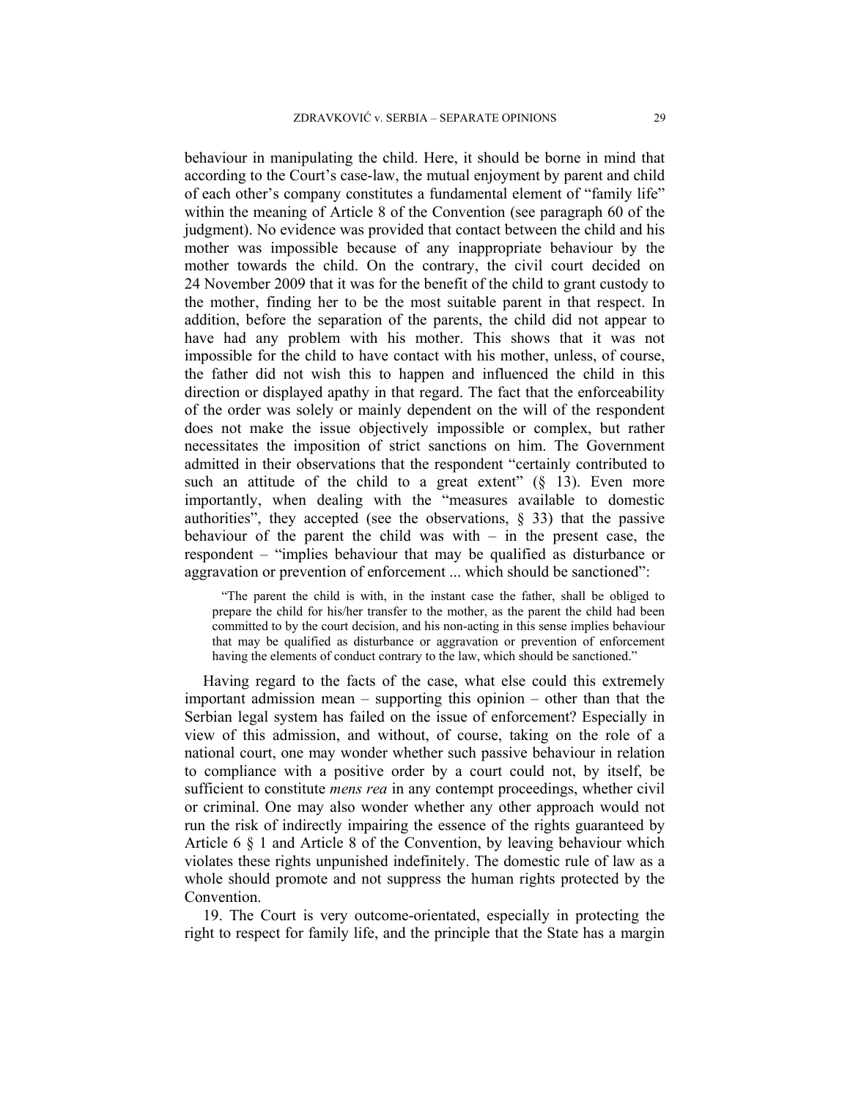behaviour in manipulating the child. Here, it should be borne in mind that according to the Court's case-law, the mutual enjoyment by parent and child of each other's company constitutes a fundamental element of "family life" within the meaning of Article 8 of the Convention (see paragraph 60 of the judgment). No evidence was provided that contact between the child and his mother was impossible because of any inappropriate behaviour by the mother towards the child. On the contrary, the civil court decided on 24 November 2009 that it was for the benefit of the child to grant custody to the mother, finding her to be the most suitable parent in that respect. In addition, before the separation of the parents, the child did not appear to have had any problem with his mother. This shows that it was not impossible for the child to have contact with his mother, unless, of course, the father did not wish this to happen and influenced the child in this direction or displayed apathy in that regard. The fact that the enforceability of the order was solely or mainly dependent on the will of the respondent does not make the issue objectively impossible or complex, but rather necessitates the imposition of strict sanctions on him. The Government admitted in their observations that the respondent "certainly contributed to such an attitude of the child to a great extent"  $(\S$  13). Even more importantly, when dealing with the "measures available to domestic authorities", they accepted (see the observations,  $\S$  33) that the passive behaviour of the parent the child was with  $-$  in the present case, the respondent – "implies behaviour that may be qualified as disturbance or aggravation or prevention of enforcement ... which should be sanctioned":

"The parent the child is with, in the instant case the father, shall be obliged to prepare the child for his/her transfer to the mother, as the parent the child had been committed to by the court decision, and his non-acting in this sense implies behaviour that may be qualified as disturbance or aggravation or prevention of enforcement having the elements of conduct contrary to the law, which should be sanctioned."

Having regard to the facts of the case, what else could this extremely important admission mean – supporting this opinion – other than that the Serbian legal system has failed on the issue of enforcement? Especially in view of this admission, and without, of course, taking on the role of a national court, one may wonder whether such passive behaviour in relation to compliance with a positive order by a court could not, by itself, be sufficient to constitute *mens rea* in any contempt proceedings, whether civil or criminal. One may also wonder whether any other approach would not run the risk of indirectly impairing the essence of the rights guaranteed by Article 6 § 1 and Article 8 of the Convention, by leaving behaviour which violates these rights unpunished indefinitely. The domestic rule of law as a whole should promote and not suppress the human rights protected by the Convention.

19. The Court is very outcome-orientated, especially in protecting the right to respect for family life, and the principle that the State has a margin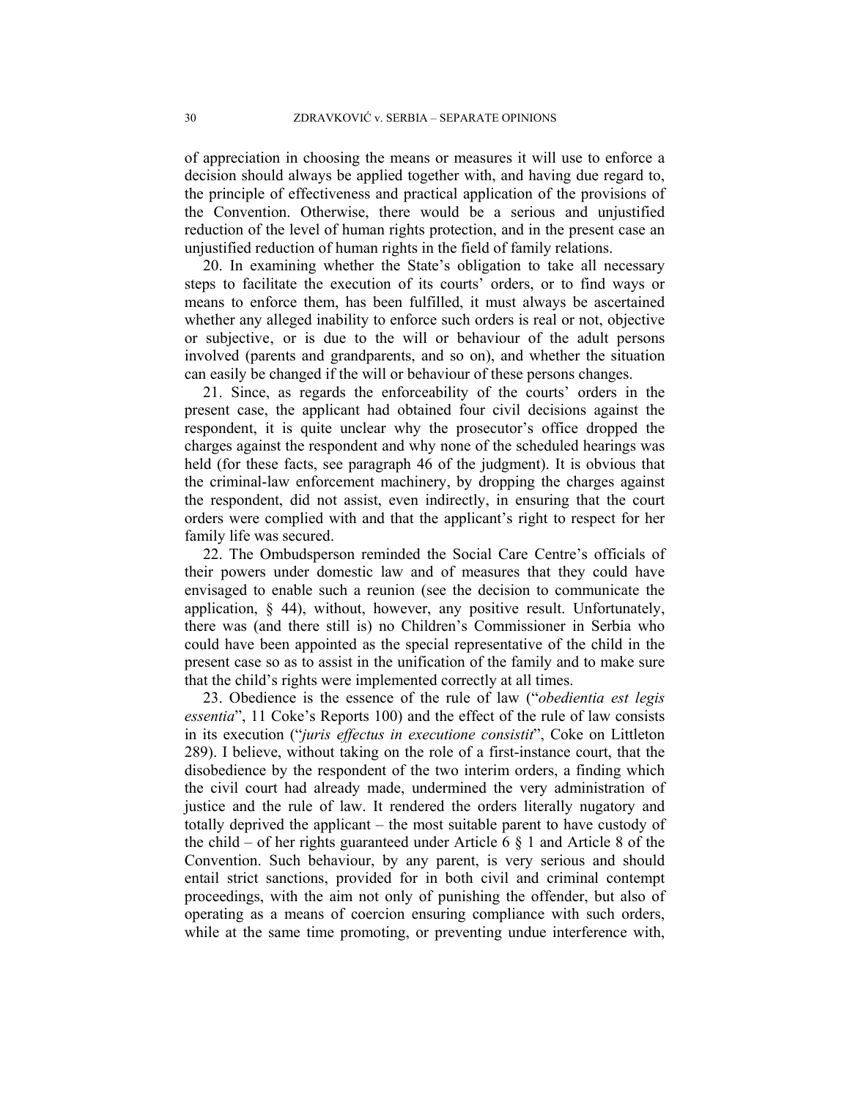of appreciation in choosing the means or measures it will use to enforce a decision should always be applied together with, and having due regard to, the principle of effectiveness and practical application of the provisions of the Convention. Otherwise, there would be a serious and unjustified reduction of the level of human rights protection, and in the present case an unjustified reduction of human rights in the field of family relations.

20. In examining whether the State's obligation to take all necessary steps to facilitate the execution of its courts' orders, or to find ways or means to enforce them, has been fulfilled, it must always be ascertained whether any alleged inability to enforce such orders is real or not, objective or subjective, or is due to the will or behaviour of the adult persons involved (parents and grandparents, and so on), and whether the situation can easily be changed if the will or behaviour of these persons changes.

21. Since, as regards the enforceability of the courts' orders in the present case, the applicant had obtained four civil decisions against the respondent, it is quite unclear why the prosecutor's office dropped the charges against the respondent and why none of the scheduled hearings was held (for these facts, see paragraph 46 of the judgment). It is obvious that the criminal-law enforcement machinery, by dropping the charges against the respondent, did not assist, even indirectly, in ensuring that the court orders were complied with and that the applicant's right to respect for her family life was secured.

22. The Ombudsperson reminded the Social Care Centre's officials of their powers under domestic law and of measures that they could have envisaged to enable such a reunion (see the decision to communicate the application, § 44), without, however, any positive result. Unfortunately, there was (and there still is) no Children's Commissioner in Serbia who could have been appointed as the special representative of the child in the present case so as to assist in the unification of the family and to make sure that the child's rights were implemented correctly at all times.

23. Obedience is the essence of the rule of law ("*obedientia est legis essentia*", 11 Coke's Reports 100) and the effect of the rule of law consists in its execution ("*juris effectus in executione consistit*", Coke on Littleton 289). I believe, without taking on the role of a first-instance court, that the disobedience by the respondent of the two interim orders, a finding which the civil court had already made, undermined the very administration of justice and the rule of law. It rendered the orders literally nugatory and totally deprived the applicant – the most suitable parent to have custody of the child – of her rights guaranteed under Article 6  $\S$  1 and Article 8 of the Convention. Such behaviour, by any parent, is very serious and should entail strict sanctions, provided for in both civil and criminal contempt proceedings, with the aim not only of punishing the offender, but also of operating as a means of coercion ensuring compliance with such orders, while at the same time promoting, or preventing undue interference with,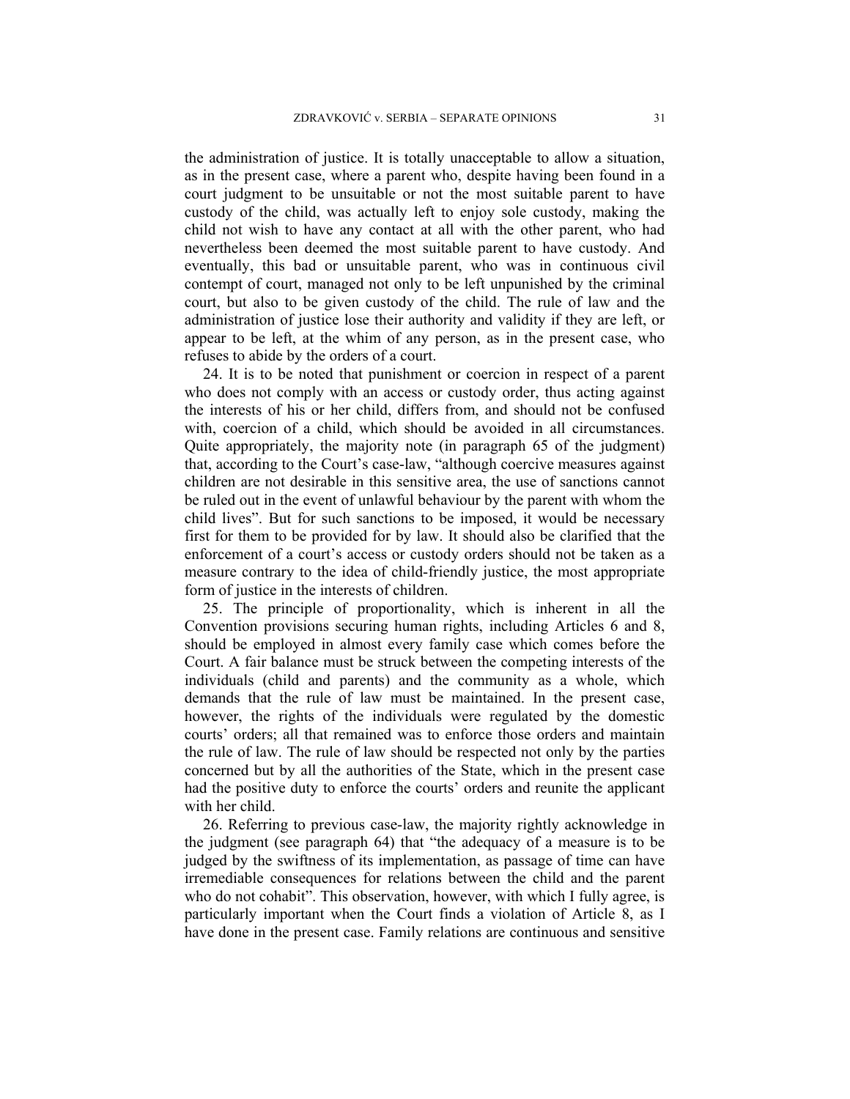the administration of justice. It is totally unacceptable to allow a situation, as in the present case, where a parent who, despite having been found in a court judgment to be unsuitable or not the most suitable parent to have custody of the child, was actually left to enjoy sole custody, making the child not wish to have any contact at all with the other parent, who had nevertheless been deemed the most suitable parent to have custody. And eventually, this bad or unsuitable parent, who was in continuous civil contempt of court, managed not only to be left unpunished by the criminal court, but also to be given custody of the child. The rule of law and the administration of justice lose their authority and validity if they are left, or appear to be left, at the whim of any person, as in the present case, who refuses to abide by the orders of a court.

24. It is to be noted that punishment or coercion in respect of a parent who does not comply with an access or custody order, thus acting against the interests of his or her child, differs from, and should not be confused with, coercion of a child, which should be avoided in all circumstances. Quite appropriately, the majority note (in paragraph 65 of the judgment) that, according to the Court's case-law, "although coercive measures against children are not desirable in this sensitive area, the use of sanctions cannot be ruled out in the event of unlawful behaviour by the parent with whom the child lives". But for such sanctions to be imposed, it would be necessary first for them to be provided for by law. It should also be clarified that the enforcement of a court's access or custody orders should not be taken as a measure contrary to the idea of child-friendly justice, the most appropriate form of justice in the interests of children.

25. The principle of proportionality, which is inherent in all the Convention provisions securing human rights, including Articles 6 and 8, should be employed in almost every family case which comes before the Court. A fair balance must be struck between the competing interests of the individuals (child and parents) and the community as a whole, which demands that the rule of law must be maintained. In the present case, however, the rights of the individuals were regulated by the domestic courts' orders; all that remained was to enforce those orders and maintain the rule of law. The rule of law should be respected not only by the parties concerned but by all the authorities of the State, which in the present case had the positive duty to enforce the courts' orders and reunite the applicant with her child.

26. Referring to previous case-law, the majority rightly acknowledge in the judgment (see paragraph 64) that "the adequacy of a measure is to be judged by the swiftness of its implementation, as passage of time can have irremediable consequences for relations between the child and the parent who do not cohabit". This observation, however, with which I fully agree, is particularly important when the Court finds a violation of Article 8, as I have done in the present case. Family relations are continuous and sensitive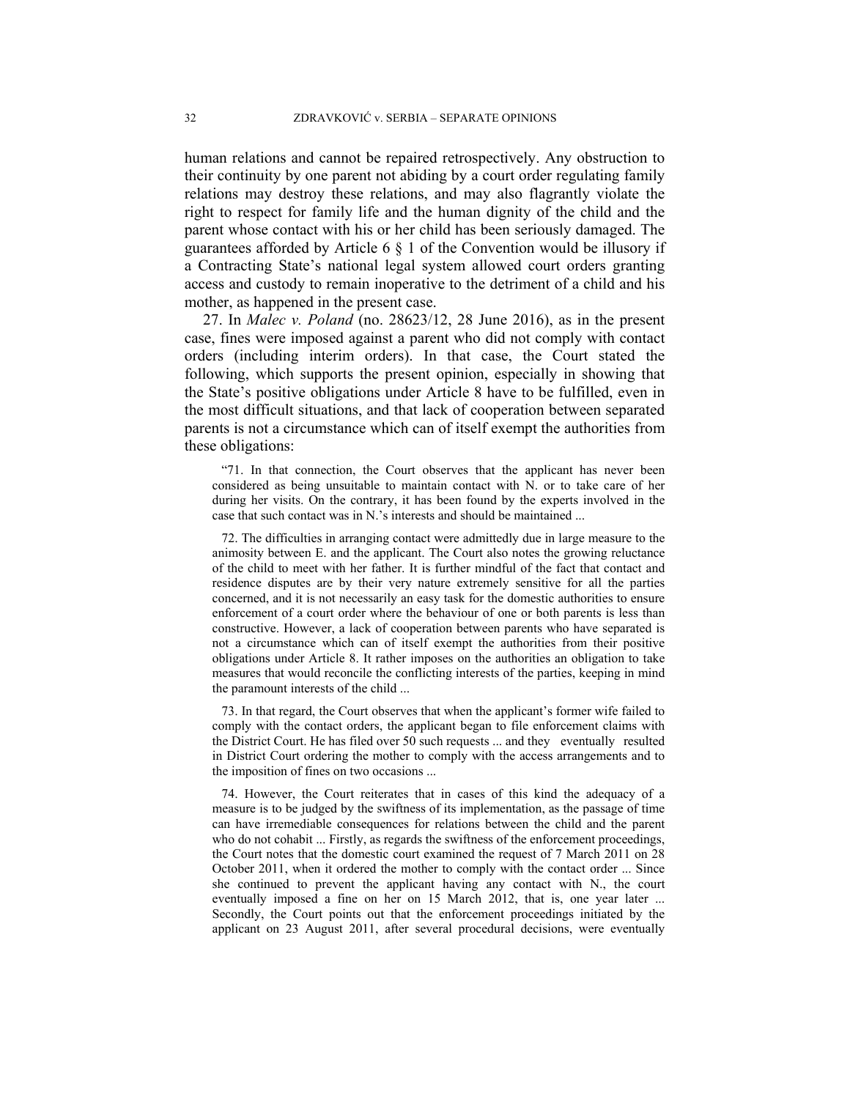human relations and cannot be repaired retrospectively. Any obstruction to their continuity by one parent not abiding by a court order regulating family relations may destroy these relations, and may also flagrantly violate the right to respect for family life and the human dignity of the child and the parent whose contact with his or her child has been seriously damaged. The guarantees afforded by Article 6 § 1 of the Convention would be illusory if a Contracting State's national legal system allowed court orders granting access and custody to remain inoperative to the detriment of a child and his mother, as happened in the present case.

27. Ιn *Malec v. Poland* (no. 28623/12, 28 June 2016), as in the present case, fines were imposed against a parent who did not comply with contact orders (including interim orders). In that case, the Court stated the following, which supports the present opinion, especially in showing that the State's positive obligations under Article 8 have to be fulfilled, even in the most difficult situations, and that lack of cooperation between separated parents is not a circumstance which can of itself exempt the authorities from these obligations:

"71. In that connection, the Court observes that the applicant has never been considered as being unsuitable to maintain contact with N. or to take care of her during her visits. On the contrary, it has been found by the experts involved in the case that such contact was in N.'s interests and should be maintained ...

72. The difficulties in arranging contact were admittedly due in large measure to the animosity between E. and the applicant. The Court also notes the growing reluctance of the child to meet with her father. It is further mindful of the fact that contact and residence disputes are by their very nature extremely sensitive for all the parties concerned, and it is not necessarily an easy task for the domestic authorities to ensure enforcement of a court order where the behaviour of one or both parents is less than constructive. However, a lack of cooperation between parents who have separated is not a circumstance which can of itself exempt the authorities from their positive obligations under Article 8. It rather imposes on the authorities an obligation to take measures that would reconcile the conflicting interests of the parties, keeping in mind the paramount interests of the child ...

73. In that regard, the Court observes that when the applicant's former wife failed to comply with the contact orders, the applicant began to file enforcement claims with the District Court. He has filed over 50 such requests ... and they eventually resulted in District Court ordering the mother to comply with the access arrangements and to the imposition of fines on two occasions ...

74. However, the Court reiterates that in cases of this kind the adequacy of a measure is to be judged by the swiftness of its implementation, as the passage of time can have irremediable consequences for relations between the child and the parent who do not cohabit ... Firstly, as regards the swiftness of the enforcement proceedings, the Court notes that the domestic court examined the request of 7 March 2011 on 28 October 2011, when it ordered the mother to comply with the contact order ... Since she continued to prevent the applicant having any contact with N., the court eventually imposed a fine on her on 15 March 2012, that is, one year later ... Secondly, the Court points out that the enforcement proceedings initiated by the applicant on 23 August 2011, after several procedural decisions, were eventually